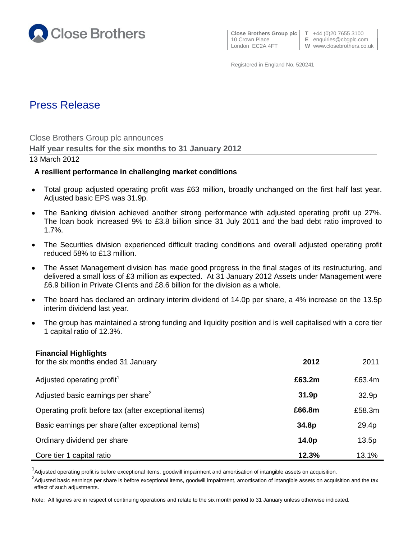

 **Close Brothers Group plc T** +44 (0)20 7655 3100 10 Crown Place **E** enquiries@cbgplc.com<br>
London EC2A 4FT **W** www.closebrothers.co.u

W www.closebrothers.co.uk

Registered in England No. 520241

# Press Release

Close Brothers Group plc announces **Half year results for the six months to 31 January 2012** 13 March 2012

#### **A resilient performance in challenging market conditions**

- $\bullet$ Total group adjusted operating profit was £63 million, broadly unchanged on the first half last year. Adjusted basic EPS was 31.9p.
- The Banking division achieved another strong performance with adjusted operating profit up 27%.  $\bullet$ The loan book increased 9% to £3.8 billion since 31 July 2011 and the bad debt ratio improved to 1.7%.
- The Securities division experienced difficult trading conditions and overall adjusted operating profit  $\bullet$ reduced 58% to £13 million.
- $\bullet$ The Asset Management division has made good progress in the final stages of its restructuring, and delivered a small loss of £3 million as expected. At 31 January 2012 Assets under Management were £6.9 billion in Private Clients and £8.6 billion for the division as a whole.
- The board has declared an ordinary interim dividend of 14.0p per share, a 4% increase on the 13.5p  $\bullet$ interim dividend last year.
- The group has maintained a strong funding and liquidity position and is well capitalised with a core tier  $\bullet$ 1 capital ratio of 12.3%.

| <b>Financial Highlights</b>                           |        |        |
|-------------------------------------------------------|--------|--------|
| for the six months ended 31 January                   | 2012   | 2011   |
| Adjusted operating profit <sup>1</sup>                | £63.2m | £63.4m |
| Adjusted basic earnings per share <sup>2</sup>        | 31.9p  | 32.9p  |
| Operating profit before tax (after exceptional items) | £66.8m | £58.3m |
| Basic earnings per share (after exceptional items)    | 34.8p  | 29.4p  |
| Ordinary dividend per share                           | 14.0p  | 13.5p  |
| Core tier 1 capital ratio                             | 12.3%  | 13.1%  |

<sup>1</sup>Adjusted operating profit is before exceptional items, goodwill impairment and amortisation of intangible assets on acquisition.

<sup>2</sup> Adjusted basic earnings per share is before exceptional items, goodwill impairment, amortisation of intangible assets on acquisition and the tax effect of such adjustments.

Note: All figures are in respect of continuing operations and relate to the six month period to 31 January unless otherwise indicated.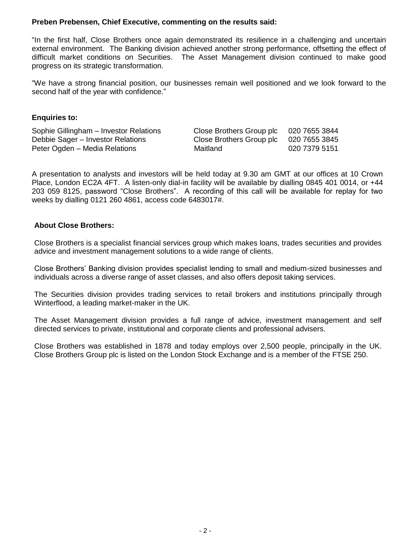### **Preben Prebensen, Chief Executive, commenting on the results said:**

"In the first half, Close Brothers once again demonstrated its resilience in a challenging and uncertain external environment. The Banking division achieved another strong performance, offsetting the effect of difficult market conditions on Securities. The Asset Management division continued to make good progress on its strategic transformation.

"We have a strong financial position, our businesses remain well positioned and we look forward to the second half of the year with confidence."

#### **Enquiries to:**

| Sophie Gillingham – Investor Relations | Close Brothers Group plc | 020 7655 3844 |
|----------------------------------------|--------------------------|---------------|
| Debbie Sager – Investor Relations      | Close Brothers Group plc | 020 7655 3845 |
| Peter Ogden – Media Relations          | Maitland                 | 020 7379 5151 |

A presentation to analysts and investors will be held today at 9.30 am GMT at our offices at 10 Crown Place, London EC2A 4FT. A listen-only dial-in facility will be available by dialling 0845 401 0014, or +44 203 059 8125, password "Close Brothers". A recording of this call will be available for replay for two weeks by dialling 0121 260 4861, access code 6483017#.

### **About Close Brothers:**

Close Brothers is a specialist financial services group which makes loans, trades securities and provides advice and investment management solutions to a wide range of clients.

Close Brothers' Banking division provides specialist lending to small and medium-sized businesses and individuals across a diverse range of asset classes, and also offers deposit taking services.

The Securities division provides trading services to retail brokers and institutions principally through Winterflood, a leading market-maker in the UK.

The Asset Management division provides a full range of advice, investment management and self directed services to private, institutional and corporate clients and professional advisers.

Close Brothers was established in 1878 and today employs over 2,500 people, principally in the UK. Close Brothers Group plc is listed on the London Stock Exchange and is a member of the FTSE 250.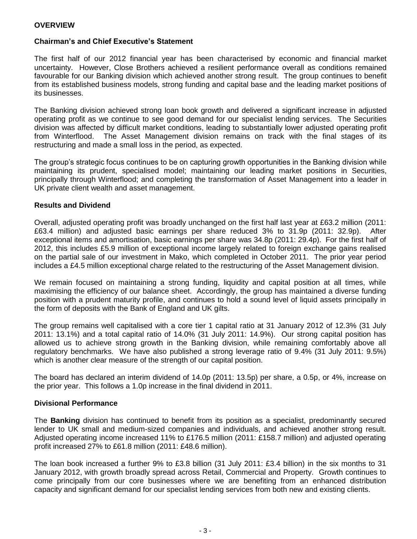### **OVERVIEW**

### **Chairman's and Chief Executive's Statement**

The first half of our 2012 financial year has been characterised by economic and financial market uncertainty. However, Close Brothers achieved a resilient performance overall as conditions remained favourable for our Banking division which achieved another strong result. The group continues to benefit from its established business models, strong funding and capital base and the leading market positions of its businesses.

The Banking division achieved strong loan book growth and delivered a significant increase in adjusted operating profit as we continue to see good demand for our specialist lending services. The Securities division was affected by difficult market conditions, leading to substantially lower adjusted operating profit from Winterflood. The Asset Management division remains on track with the final stages of its restructuring and made a small loss in the period, as expected.

The group's strategic focus continues to be on capturing growth opportunities in the Banking division while maintaining its prudent, specialised model; maintaining our leading market positions in Securities, principally through Winterflood; and completing the transformation of Asset Management into a leader in UK private client wealth and asset management.

#### **Results and Dividend**

Overall, adjusted operating profit was broadly unchanged on the first half last year at £63.2 million (2011: £63.4 million) and adjusted basic earnings per share reduced 3% to 31.9p (2011: 32.9p). After exceptional items and amortisation, basic earnings per share was 34.8p (2011: 29.4p). For the first half of 2012, this includes £5.9 million of exceptional income largely related to foreign exchange gains realised on the partial sale of our investment in Mako, which completed in October 2011. The prior year period includes a £4.5 million exceptional charge related to the restructuring of the Asset Management division.

We remain focused on maintaining a strong funding, liquidity and capital position at all times, while maximising the efficiency of our balance sheet. Accordingly, the group has maintained a diverse funding position with a prudent maturity profile, and continues to hold a sound level of liquid assets principally in the form of deposits with the Bank of England and UK gilts.

The group remains well capitalised with a core tier 1 capital ratio at 31 January 2012 of 12.3% (31 July 2011: 13.1%) and a total capital ratio of 14.0% (31 July 2011: 14.9%). Our strong capital position has allowed us to achieve strong growth in the Banking division, while remaining comfortably above all regulatory benchmarks. We have also published a strong leverage ratio of 9.4% (31 July 2011: 9.5%) which is another clear measure of the strength of our capital position.

The board has declared an interim dividend of 14.0p (2011: 13.5p) per share, a 0.5p, or 4%, increase on the prior year. This follows a 1.0p increase in the final dividend in 2011.

#### **Divisional Performance**

The **Banking** division has continued to benefit from its position as a specialist, predominantly secured lender to UK small and medium-sized companies and individuals, and achieved another strong result. Adjusted operating income increased 11% to £176.5 million (2011: £158.7 million) and adjusted operating profit increased 27% to £61.8 million (2011: £48.6 million).

The loan book increased a further 9% to £3.8 billion (31 July 2011: £3.4 billion) in the six months to 31 January 2012, with growth broadly spread across Retail, Commercial and Property. Growth continues to come principally from our core businesses where we are benefiting from an enhanced distribution capacity and significant demand for our specialist lending services from both new and existing clients.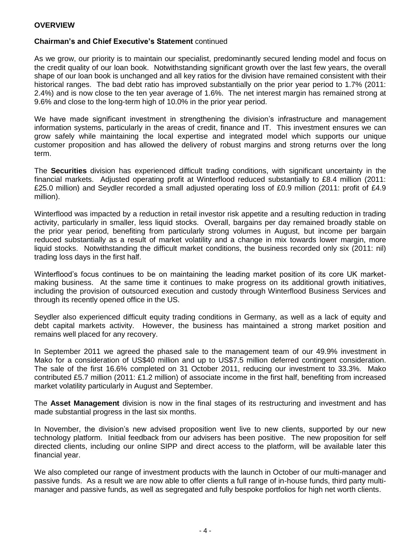#### **OVERVIEW**

#### **Chairman's and Chief Executive's Statement** continued

As we grow, our priority is to maintain our specialist, predominantly secured lending model and focus on the credit quality of our loan book. Notwithstanding significant growth over the last few years, the overall shape of our loan book is unchanged and all key ratios for the division have remained consistent with their historical ranges. The bad debt ratio has improved substantially on the prior year period to 1.7% (2011: 2.4%) and is now close to the ten year average of 1.6%. The net interest margin has remained strong at 9.6% and close to the long-term high of 10.0% in the prior year period.

We have made significant investment in strengthening the division's infrastructure and management information systems, particularly in the areas of credit, finance and IT. This investment ensures we can grow safely while maintaining the local expertise and integrated model which supports our unique customer proposition and has allowed the delivery of robust margins and strong returns over the long term.

The **Securities** division has experienced difficult trading conditions, with significant uncertainty in the financial markets. Adjusted operating profit at Winterflood reduced substantially to £8.4 million (2011: £25.0 million) and Seydler recorded a small adjusted operating loss of £0.9 million (2011: profit of £4.9 million).

Winterflood was impacted by a reduction in retail investor risk appetite and a resulting reduction in trading activity, particularly in smaller, less liquid stocks. Overall, bargains per day remained broadly stable on the prior year period, benefiting from particularly strong volumes in August, but income per bargain reduced substantially as a result of market volatility and a change in mix towards lower margin, more liquid stocks. Notwithstanding the difficult market conditions, the business recorded only six (2011: nil) trading loss days in the first half.

Winterflood's focus continues to be on maintaining the leading market position of its core UK marketmaking business. At the same time it continues to make progress on its additional growth initiatives, including the provision of outsourced execution and custody through Winterflood Business Services and through its recently opened office in the US.

Seydler also experienced difficult equity trading conditions in Germany, as well as a lack of equity and debt capital markets activity. However, the business has maintained a strong market position and remains well placed for any recovery.

In September 2011 we agreed the phased sale to the management team of our 49.9% investment in Mako for a consideration of US\$40 million and up to US\$7.5 million deferred contingent consideration. The sale of the first 16.6% completed on 31 October 2011, reducing our investment to 33.3%. Mako contributed £5.7 million (2011: £1.2 million) of associate income in the first half, benefiting from increased market volatility particularly in August and September.

The **Asset Management** division is now in the final stages of its restructuring and investment and has made substantial progress in the last six months.

In November, the division's new advised proposition went live to new clients, supported by our new technology platform. Initial feedback from our advisers has been positive. The new proposition for self directed clients, including our online SIPP and direct access to the platform, will be available later this financial year.

We also completed our range of investment products with the launch in October of our multi-manager and passive funds. As a result we are now able to offer clients a full range of in-house funds, third party multimanager and passive funds, as well as segregated and fully bespoke portfolios for high net worth clients.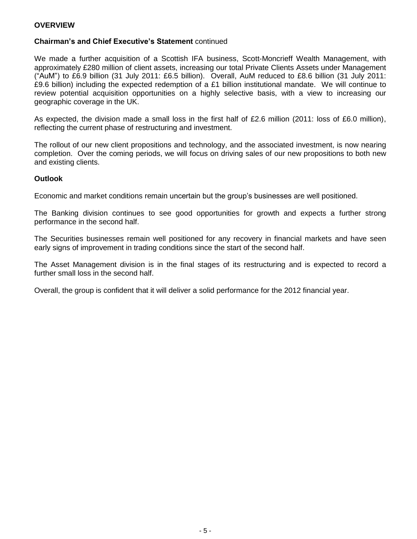### **OVERVIEW**

#### **Chairman's and Chief Executive's Statement** continued

We made a further acquisition of a Scottish IFA business, Scott-Moncrieff Wealth Management, with approximately £280 million of client assets, increasing our total Private Clients Assets under Management ("AuM") to £6.9 billion (31 July 2011: £6.5 billion). Overall, AuM reduced to £8.6 billion (31 July 2011: £9.6 billion) including the expected redemption of a £1 billion institutional mandate. We will continue to review potential acquisition opportunities on a highly selective basis, with a view to increasing our geographic coverage in the UK.

As expected, the division made a small loss in the first half of £2.6 million (2011: loss of £6.0 million), reflecting the current phase of restructuring and investment.

The rollout of our new client propositions and technology, and the associated investment, is now nearing completion. Over the coming periods, we will focus on driving sales of our new propositions to both new and existing clients.

#### **Outlook**

Economic and market conditions remain uncertain but the group's businesses are well positioned.

The Banking division continues to see good opportunities for growth and expects a further strong performance in the second half.

The Securities businesses remain well positioned for any recovery in financial markets and have seen early signs of improvement in trading conditions since the start of the second half.

The Asset Management division is in the final stages of its restructuring and is expected to record a further small loss in the second half.

Overall, the group is confident that it will deliver a solid performance for the 2012 financial year.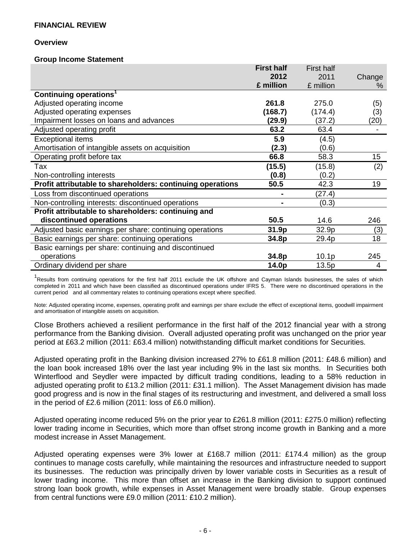#### **Overview**

#### **Group Income Statement**

|                                                            | <b>First half</b> | <b>First half</b> |        |
|------------------------------------------------------------|-------------------|-------------------|--------|
|                                                            | 2012              | 2011              | Change |
|                                                            | £ million         | £ million         | %      |
| Continuing operations <sup>1</sup>                         |                   |                   |        |
| Adjusted operating income                                  | 261.8             | 275.0             | (5)    |
| Adjusted operating expenses                                | (168.7)           | (174.4)           | (3)    |
| Impairment losses on loans and advances                    | (29.9)            | (37.2)            | (20)   |
| Adjusted operating profit                                  | 63.2              | 63.4              |        |
| <b>Exceptional items</b>                                   | 5.9               | (4.5)             |        |
| Amortisation of intangible assets on acquisition           | (2.3)             | (0.6)             |        |
| Operating profit before tax                                | 66.8              | 58.3              | 15     |
| Tax                                                        | (15.5)            | (15.8)            | (2)    |
| Non-controlling interests                                  | (0.8)             | (0.2)             |        |
| Profit attributable to shareholders: continuing operations | 50.5              | 42.3              | 19     |
| Loss from discontinued operations                          |                   | (27.4)            |        |
| Non-controlling interests: discontinued operations         | ۰                 | (0.3)             |        |
| Profit attributable to shareholders: continuing and        |                   |                   |        |
| discontinued operations                                    | 50.5              | 14.6              | 246    |
| Adjusted basic earnings per share: continuing operations   | 31.9p             | 32.9p             | (3)    |
| Basic earnings per share: continuing operations            | 34.8p             | 29.4p             | 18     |
| Basic earnings per share: continuing and discontinued      |                   |                   |        |
| operations                                                 | 34.8p             | 10.1 <sub>p</sub> | 245    |
| Ordinary dividend per share                                | 14.0p             | 13.5p             | 4      |

<sup>1</sup>Results from continuing operations for the first half 2011 exclude the UK offshore and Cayman Islands businesses, the sales of which completed in 2011 and which have been classified as discontinued operations under IFRS 5. There were no discontinued operations in the current period and all commentary relates to continuing operations except where specified.

Note: Adjusted operating income, expenses, operating profit and earnings per share exclude the effect of exceptional items, goodwill impairment and amortisation of intangible assets on acquisition.

Close Brothers achieved a resilient performance in the first half of the 2012 financial year with a strong performance from the Banking division. Overall adjusted operating profit was unchanged on the prior year period at £63.2 million (2011: £63.4 million) notwithstanding difficult market conditions for Securities.

Adjusted operating profit in the Banking division increased 27% to £61.8 million (2011: £48.6 million) and the loan book increased 18% over the last year including 9% in the last six months. In Securities both Winterflood and Seydler were impacted by difficult trading conditions, leading to a 58% reduction in adjusted operating profit to £13.2 million (2011: £31.1 million). The Asset Management division has made good progress and is now in the final stages of its restructuring and investment, and delivered a small loss in the period of £2.6 million (2011: loss of £6.0 million).

Adjusted operating income reduced 5% on the prior year to £261.8 million (2011: £275.0 million) reflecting lower trading income in Securities, which more than offset strong income growth in Banking and a more modest increase in Asset Management.

Adjusted operating expenses were 3% lower at £168.7 million (2011: £174.4 million) as the group continues to manage costs carefully, while maintaining the resources and infrastructure needed to support its businesses. The reduction was principally driven by lower variable costs in Securities as a result of lower trading income. This more than offset an increase in the Banking division to support continued strong loan book growth, while expenses in Asset Management were broadly stable. Group expenses from central functions were £9.0 million (2011: £10.2 million).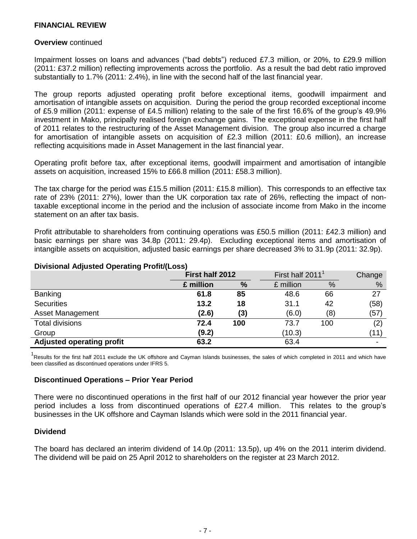#### **Overview** continued

Impairment losses on loans and advances ("bad debts") reduced £7.3 million, or 20%, to £29.9 million (2011: £37.2 million) reflecting improvements across the portfolio. As a result the bad debt ratio improved substantially to 1.7% (2011: 2.4%), in line with the second half of the last financial year.

The group reports adjusted operating profit before exceptional items, goodwill impairment and amortisation of intangible assets on acquisition. During the period the group recorded exceptional income of £5.9 million (2011: expense of £4.5 million) relating to the sale of the first 16.6% of the group's 49.9% investment in Mako, principally realised foreign exchange gains. The exceptional expense in the first half of 2011 relates to the restructuring of the Asset Management division. The group also incurred a charge for amortisation of intangible assets on acquisition of £2.3 million (2011: £0.6 million), an increase reflecting acquisitions made in Asset Management in the last financial year.

Operating profit before tax, after exceptional items, goodwill impairment and amortisation of intangible assets on acquisition, increased 15% to £66.8 million (2011: £58.3 million).

The tax charge for the period was £15.5 million (2011: £15.8 million). This corresponds to an effective tax rate of 23% (2011: 27%), lower than the UK corporation tax rate of 26%, reflecting the impact of nontaxable exceptional income in the period and the inclusion of associate income from Mako in the income statement on an after tax basis.

Profit attributable to shareholders from continuing operations was £50.5 million (2011: £42.3 million) and basic earnings per share was 34.8p (2011: 29.4p). Excluding exceptional items and amortisation of intangible assets on acquisition, adjusted basic earnings per share decreased 3% to 31.9p (2011: 32.9p).

|                                  | First half 2012 |     | First half 2011 <sup>1</sup> |     | Change |
|----------------------------------|-----------------|-----|------------------------------|-----|--------|
|                                  | £ million       | %   | £ million                    | %   | %      |
| <b>Banking</b>                   | 61.8            | 85  | 48.6                         | 66  | 27     |
| <b>Securities</b>                | 13.2            | 18  | 31.1                         | 42  | (58)   |
| Asset Management                 | (2.6)           | (3) | (6.0)                        | (8) | (57)   |
| <b>Total divisions</b>           | 72.4            | 100 | 73.7                         | 100 | (2)    |
| Group                            | (9.2)           |     | (10.3)                       |     | (11)   |
| <b>Adjusted operating profit</b> | 63.2            |     | 63.4                         |     |        |

#### **Divisional Adjusted Operating Profit/(Loss)**

<sup>1</sup>Results for the first half 2011 exclude the UK offshore and Cayman Islands businesses, the sales of which completed in 2011 and which have been classified as discontinued operations under IFRS 5.

#### **Discontinued Operations – Prior Year Period**

There were no discontinued operations in the first half of our 2012 financial year however the prior year period includes a loss from discontinued operations of £27.4 million. This relates to the group's businesses in the UK offshore and Cayman Islands which were sold in the 2011 financial year.

#### **Dividend**

The board has declared an interim dividend of 14.0p (2011: 13.5p), up 4% on the 2011 interim dividend. The dividend will be paid on 25 April 2012 to shareholders on the register at 23 March 2012.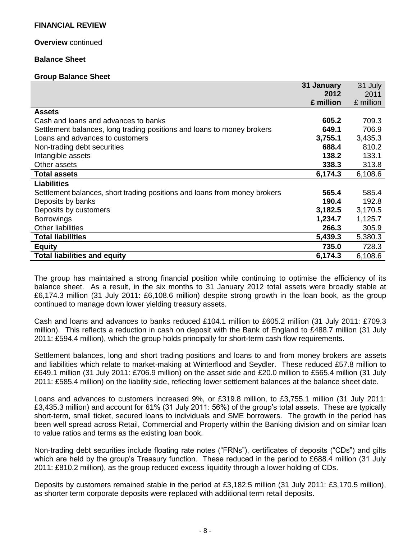#### **Overview** continued

#### **Balance Sheet**

#### **Group Balance Sheet**

|                                                                           | 31 January | 31 July   |
|---------------------------------------------------------------------------|------------|-----------|
|                                                                           | 2012       | 2011      |
|                                                                           | £ million  | £ million |
| <b>Assets</b>                                                             |            |           |
| Cash and loans and advances to banks                                      | 605.2      | 709.3     |
| Settlement balances, long trading positions and loans to money brokers    | 649.1      | 706.9     |
| Loans and advances to customers                                           | 3,755.1    | 3,435.3   |
| Non-trading debt securities                                               | 688.4      | 810.2     |
| Intangible assets                                                         | 138.2      | 133.1     |
| Other assets                                                              | 338.3      | 313.8     |
| <b>Total assets</b>                                                       | 6,174.3    | 6,108.6   |
| <b>Liabilities</b>                                                        |            |           |
| Settlement balances, short trading positions and loans from money brokers | 565.4      | 585.4     |
| Deposits by banks                                                         | 190.4      | 192.8     |
| Deposits by customers                                                     | 3,182.5    | 3,170.5   |
| <b>Borrowings</b>                                                         | 1,234.7    | 1,125.7   |
| Other liabilities                                                         | 266.3      | 305.9     |
| <b>Total liabilities</b>                                                  | 5,439.3    | 5,380.3   |
| <b>Equity</b>                                                             | 735.0      | 728.3     |
| <b>Total liabilities and equity</b>                                       | 6,174.3    | 6,108.6   |

The group has maintained a strong financial position while continuing to optimise the efficiency of its balance sheet. As a result, in the six months to 31 January 2012 total assets were broadly stable at £6,174.3 million (31 July 2011: £6,108.6 million) despite strong growth in the loan book, as the group continued to manage down lower yielding treasury assets.

Cash and loans and advances to banks reduced £104.1 million to £605.2 million (31 July 2011: £709.3 million). This reflects a reduction in cash on deposit with the Bank of England to £488.7 million (31 July 2011: £594.4 million), which the group holds principally for short-term cash flow requirements.

Settlement balances, long and short trading positions and loans to and from money brokers are assets and liabilities which relate to market-making at Winterflood and Seydler. These reduced £57.8 million to £649.1 million (31 July 2011: £706.9 million) on the asset side and £20.0 million to £565.4 million (31 July 2011: £585.4 million) on the liability side, reflecting lower settlement balances at the balance sheet date.

Loans and advances to customers increased 9%, or £319.8 million, to £3,755.1 million (31 July 2011: £3,435.3 million) and account for 61% (31 July 2011: 56%) of the group's total assets. These are typically short-term, small ticket, secured loans to individuals and SME borrowers. The growth in the period has been well spread across Retail, Commercial and Property within the Banking division and on similar loan to value ratios and terms as the existing loan book.

Non-trading debt securities include floating rate notes ("FRNs"), certificates of deposits ("CDs") and gilts which are held by the group's Treasury function. These reduced in the period to £688.4 million (31 July 2011: £810.2 million), as the group reduced excess liquidity through a lower holding of CDs.

Deposits by customers remained stable in the period at £3,182.5 million (31 July 2011: £3,170.5 million), as shorter term corporate deposits were replaced with additional term retail deposits.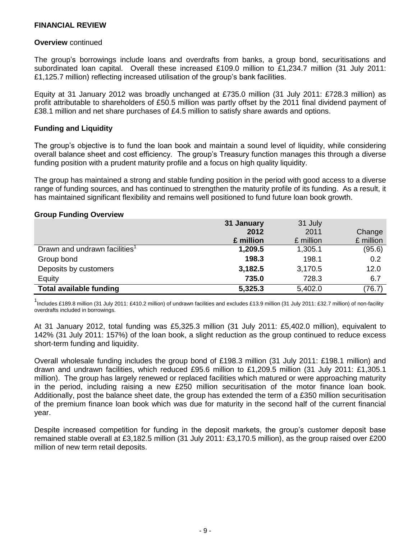#### **Overview** continued

The group's borrowings include loans and overdrafts from banks, a group bond, securitisations and subordinated loan capital. Overall these increased £109.0 million to £1,234.7 million (31 July 2011: £1,125.7 million) reflecting increased utilisation of the group's bank facilities.

Equity at 31 January 2012 was broadly unchanged at £735.0 million (31 July 2011: £728.3 million) as profit attributable to shareholders of £50.5 million was partly offset by the 2011 final dividend payment of £38.1 million and net share purchases of £4.5 million to satisfy share awards and options.

#### **Funding and Liquidity**

The group's objective is to fund the loan book and maintain a sound level of liquidity, while considering overall balance sheet and cost efficiency. The group's Treasury function manages this through a diverse funding position with a prudent maturity profile and a focus on high quality liquidity.

The group has maintained a strong and stable funding position in the period with good access to a diverse range of funding sources, and has continued to strengthen the maturity profile of its funding. As a result, it has maintained significant flexibility and remains well positioned to fund future loan book growth.

#### **Group Funding Overview**

|                                           | 31 January<br>2012<br>£ million | 31 July<br>2011<br>£ million | Change<br>£ million |
|-------------------------------------------|---------------------------------|------------------------------|---------------------|
| Drawn and undrawn facilities <sup>1</sup> | 1,209.5                         | 1,305.1                      | (95.6)              |
| Group bond                                | 198.3                           | 198.1                        | 0.2                 |
| Deposits by customers                     | 3,182.5                         | 3,170.5                      | 12.0                |
| Equity                                    | 735.0                           | 728.3                        | 6.7                 |
| <b>Total available funding</b>            | 5,325.3                         | 5,402.0                      | (76.7)              |

<sup>1</sup>Includes £189.8 million (31 July 2011: £410.2 million) of undrawn facilities and excludes £13.9 million (31 July 2011: £32.7 million) of non-facility overdrafts included in borrowings.

At 31 January 2012, total funding was £5,325.3 million (31 July 2011: £5,402.0 million), equivalent to 142% (31 July 2011: 157%) of the loan book, a slight reduction as the group continued to reduce excess short-term funding and liquidity.

Overall wholesale funding includes the group bond of £198.3 million (31 July 2011: £198.1 million) and drawn and undrawn facilities, which reduced £95.6 million to £1,209.5 million (31 July 2011: £1,305.1 million). The group has largely renewed or replaced facilities which matured or were approaching maturity in the period, including raising a new £250 million securitisation of the motor finance loan book. Additionally, post the balance sheet date, the group has extended the term of a £350 million securitisation of the premium finance loan book which was due for maturity in the second half of the current financial year.

Despite increased competition for funding in the deposit markets, the group's customer deposit base remained stable overall at £3,182.5 million (31 July 2011: £3,170.5 million), as the group raised over £200 million of new term retail deposits.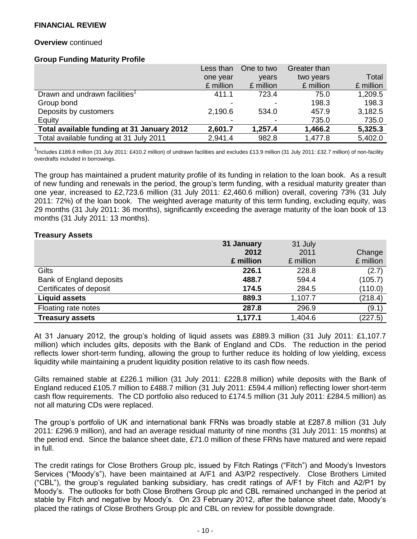#### **Overview** continued

#### **Group Funding Maturity Profile**

|                                            | Less than | One to two | Greater than |           |
|--------------------------------------------|-----------|------------|--------------|-----------|
|                                            | one year  | years      | two years    | Total     |
|                                            | £ million | £ million  | £ million    | £ million |
| Drawn and undrawn facilities <sup>1</sup>  | 411.1     | 723.4      | 75.0         | 1,209.5   |
| Group bond                                 |           |            | 198.3        | 198.3     |
| Deposits by customers                      | 2,190.6   | 534.0      | 457.9        | 3,182.5   |
| Equity                                     |           |            | 735.0        | 735.0     |
| Total available funding at 31 January 2012 | 2,601.7   | 1,257.4    | 1,466.2      | 5,325.3   |
| Total available funding at 31 July 2011    | 2,941.4   | 982.8      | 1,477.8      | 5,402.0   |

<sup>1</sup>Includes £189.8 million (31 July 2011: £410.2 million) of undrawn facilities and excludes £13.9 million (31 July 2011: £32.7 million) of non-facility overdrafts included in borrowings.

The group has maintained a prudent maturity profile of its funding in relation to the loan book. As a result of new funding and renewals in the period, the group's term funding, with a residual maturity greater than one year, increased to £2,723.6 million (31 July 2011: £2,460.6 million) overall, covering 73% (31 July 2011: 72%) of the loan book. The weighted average maturity of this term funding, excluding equity, was 29 months (31 July 2011: 36 months), significantly exceeding the average maturity of the loan book of 13 months (31 July 2011: 13 months).

#### **Treasury Assets**

|                          | 31 January | 31 July   |           |
|--------------------------|------------|-----------|-----------|
|                          | 2012       | 2011      | Change    |
|                          | £ million  | £ million | £ million |
| Gilts                    | 226.1      | 228.8     | (2.7)     |
| Bank of England deposits | 488.7      | 594.4     | (105.7)   |
| Certificates of deposit  | 174.5      | 284.5     | (110.0)   |
| <b>Liquid assets</b>     | 889.3      | 1,107.7   | (218.4)   |
| Floating rate notes      | 287.8      | 296.9     | (9.1)     |
| <b>Treasury assets</b>   | 1,177.1    | 1,404.6   | (227.5)   |

At 31 January 2012, the group's holding of liquid assets was £889.3 million (31 July 2011: £1,107.7 million) which includes gilts, deposits with the Bank of England and CDs. The reduction in the period reflects lower short-term funding, allowing the group to further reduce its holding of low yielding, excess liquidity while maintaining a prudent liquidity position relative to its cash flow needs.

Gilts remained stable at £226.1 million (31 July 2011: £228.8 million) while deposits with the Bank of England reduced £105.7 million to £488.7 million (31 July 2011: £594.4 million) reflecting lower short-term cash flow requirements. The CD portfolio also reduced to £174.5 million (31 July 2011: £284.5 million) as not all maturing CDs were replaced.

The group's portfolio of UK and international bank FRNs was broadly stable at £287.8 million (31 July 2011: £296.9 million), and had an average residual maturity of nine months (31 July 2011: 15 months) at the period end. Since the balance sheet date, £71.0 million of these FRNs have matured and were repaid in full.

The credit ratings for Close Brothers Group plc, issued by Fitch Ratings ("Fitch") and Moody's Investors Services ("Moody's"), have been maintained at A/F1 and A3/P2 respectively. Close Brothers Limited ("CBL"), the group's regulated banking subsidiary, has credit ratings of A/F1 by Fitch and A2/P1 by Moody's. The outlooks for both Close Brothers Group plc and CBL remained unchanged in the period at stable by Fitch and negative by Moody's. On 23 February 2012, after the balance sheet date, Moody's placed the ratings of Close Brothers Group plc and CBL on review for possible downgrade.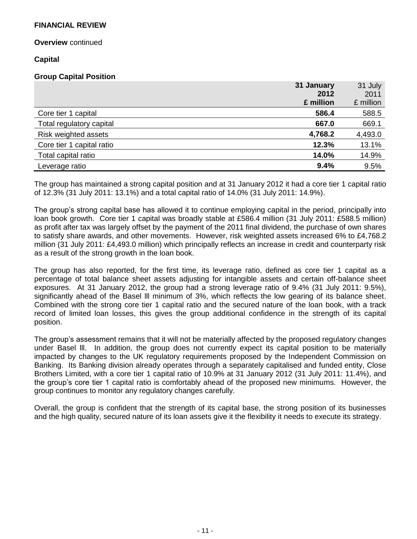#### **Overview** continued

**Capital**

### **Group Capital Position**

|                           | 31 January | 31 July   |
|---------------------------|------------|-----------|
|                           | 2012       | 2011      |
|                           | £ million  | £ million |
| Core tier 1 capital       | 586.4      | 588.5     |
| Total regulatory capital  | 667.0      | 669.1     |
| Risk weighted assets      | 4,768.2    | 4,493.0   |
| Core tier 1 capital ratio | 12.3%      | 13.1%     |
| Total capital ratio       | 14.0%      | 14.9%     |
| Leverage ratio            | 9.4%       | 9.5%      |

The group has maintained a strong capital position and at 31 January 2012 it had a core tier 1 capital ratio of 12.3% (31 July 2011: 13.1%) and a total capital ratio of 14.0% (31 July 2011: 14.9%).

The group's strong capital base has allowed it to continue employing capital in the period, principally into loan book growth. Core tier 1 capital was broadly stable at £586.4 million (31 July 2011: £588.5 million) as profit after tax was largely offset by the payment of the 2011 final dividend, the purchase of own shares to satisfy share awards, and other movements. However, risk weighted assets increased 6% to £4,768.2 million (31 July 2011: £4,493.0 million) which principally reflects an increase in credit and counterparty risk as a result of the strong growth in the loan book.

The group has also reported, for the first time, its leverage ratio, defined as core tier 1 capital as a percentage of total balance sheet assets adjusting for intangible assets and certain off-balance sheet exposures. At 31 January 2012, the group had a strong leverage ratio of 9.4% (31 July 2011: 9.5%), significantly ahead of the Basel lll minimum of 3%, which reflects the low gearing of its balance sheet. Combined with the strong core tier 1 capital ratio and the secured nature of the loan book, with a track record of limited loan losses, this gives the group additional confidence in the strength of its capital position.

The group's assessment remains that it will not be materially affected by the proposed regulatory changes under Basel lll. In addition, the group does not currently expect its capital position to be materially impacted by changes to the UK regulatory requirements proposed by the Independent Commission on Banking. Its Banking division already operates through a separately capitalised and funded entity, Close Brothers Limited, with a core tier 1 capital ratio of 10.9% at 31 January 2012 (31 July 2011: 11.4%), and the group's core tier 1 capital ratio is comfortably ahead of the proposed new minimums. However, the group continues to monitor any regulatory changes carefully.

Overall, the group is confident that the strength of its capital base, the strong position of its businesses and the high quality, secured nature of its loan assets give it the flexibility it needs to execute its strategy.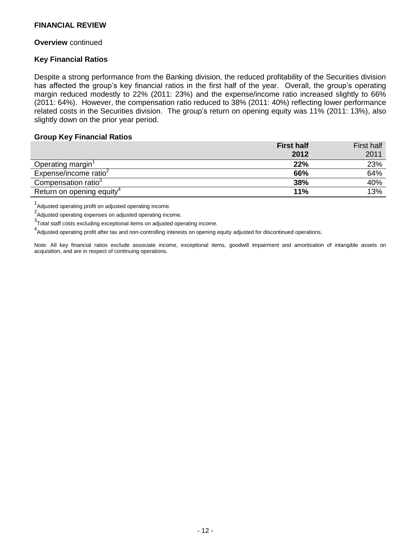#### **Overview** continued

#### **Key Financial Ratios**

Despite a strong performance from the Banking division, the reduced profitability of the Securities division has affected the group's key financial ratios in the first half of the year. Overall, the group's operating margin reduced modestly to 22% (2011: 23%) and the expense/income ratio increased slightly to 66% (2011: 64%). However, the compensation ratio reduced to 38% (2011: 40%) reflecting lower performance related costs in the Securities division. The group's return on opening equity was 11% (2011: 13%), also slightly down on the prior year period.

#### **Group Key Financial Ratios**

|                                       | <b>First half</b> | First half |
|---------------------------------------|-------------------|------------|
|                                       | 2012              | 2011       |
| Operating margin                      | 22%               | 23%        |
| Expense/income ratio <sup>2</sup>     | 66%               | 64%        |
| Compensation ratio <sup>3</sup>       | 38%               | 40%        |
| Return on opening equity <sup>4</sup> | 11%               | 13%        |

<sup>1</sup>Adjusted operating profit on adjusted operating income.

 $2$ Adjusted operating expenses on adjusted operating income.

 $3$ Total staff costs excluding exceptional items on adjusted operating income.

<sup>4</sup>Adjusted operating profit after tax and non-controlling interests on opening equity adjusted for discontinued operations.

Note: All key financial ratios exclude associate income, exceptional items, goodwill impairment and amortisation of intangible assets on acquisition, and are in respect of continuing operations.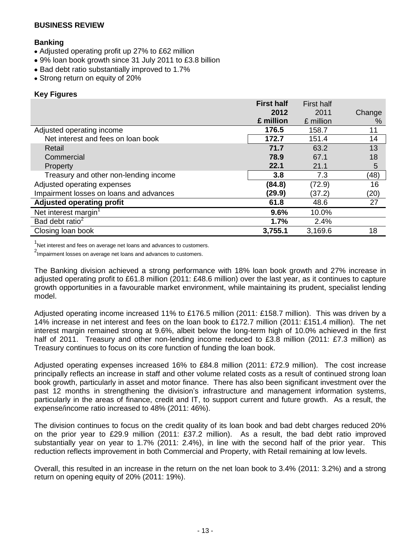## **Banking**

- Adjusted operating profit up 27% to £62 million
- 9% loan book growth since 31 July 2011 to £3.8 billion
- Bad debt ratio substantially improved to 1.7%
- Strong return on equity of 20%

### **Key Figures**

|                                         | <b>First half</b> | <b>First half</b> |        |
|-----------------------------------------|-------------------|-------------------|--------|
|                                         | 2012              | 2011              | Change |
|                                         | £ million         | £ million         | %      |
| Adjusted operating income               | 176.5             | 158.7             | 11     |
| Net interest and fees on loan book      | 172.7             | 151.4             | 14     |
| Retail                                  | 71.7              | 63.2              | 13     |
| Commercial                              | 78.9              | 67.1              | 18     |
| Property                                | 22.1              | 21.1              | 5      |
| Treasury and other non-lending income   | 3.8               | 7.3               | (48)   |
| Adjusted operating expenses             | (84.8)            | (72.9)            | 16     |
| Impairment losses on loans and advances | (29.9)            | (37.2)            | (20)   |
| <b>Adjusted operating profit</b>        | 61.8              | 48.6              | 27     |
| Net interest margin <sup>1</sup>        | 9.6%              | 10.0%             |        |
| Bad debt ratio <sup>2</sup>             | 1.7%              | 2.4%              |        |
| Closing loan book                       | 3,755.1           | 3,169.6           | 18     |

 $1$ Net interest and fees on average net loans and advances to customers.

<sup>2</sup>Impairment losses on average net loans and advances to customers.

The Banking division achieved a strong performance with 18% loan book growth and 27% increase in adjusted operating profit to £61.8 million (2011: £48.6 million) over the last year, as it continues to capture growth opportunities in a favourable market environment, while maintaining its prudent, specialist lending model.

Adjusted operating income increased 11% to £176.5 million (2011: £158.7 million). This was driven by a 14% increase in net interest and fees on the loan book to £172.7 million (2011: £151.4 million). The net interest margin remained strong at 9.6%, albeit below the long-term high of 10.0% achieved in the first half of 2011. Treasury and other non-lending income reduced to £3.8 million (2011: £7.3 million) as Treasury continues to focus on its core function of funding the loan book.

Adjusted operating expenses increased 16% to £84.8 million (2011: £72.9 million). The cost increase principally reflects an increase in staff and other volume related costs as a result of continued strong loan book growth, particularly in asset and motor finance. There has also been significant investment over the past 12 months in strengthening the division's infrastructure and management information systems, particularly in the areas of finance, credit and IT, to support current and future growth. As a result, the expense/income ratio increased to 48% (2011: 46%).

The division continues to focus on the credit quality of its loan book and bad debt charges reduced 20% on the prior year to £29.9 million (2011: £37.2 million). As a result, the bad debt ratio improved substantially year on year to 1.7% (2011: 2.4%), in line with the second half of the prior year. This reduction reflects improvement in both Commercial and Property, with Retail remaining at low levels.

Overall, this resulted in an increase in the return on the net loan book to 3.4% (2011: 3.2%) and a strong return on opening equity of 20% (2011: 19%).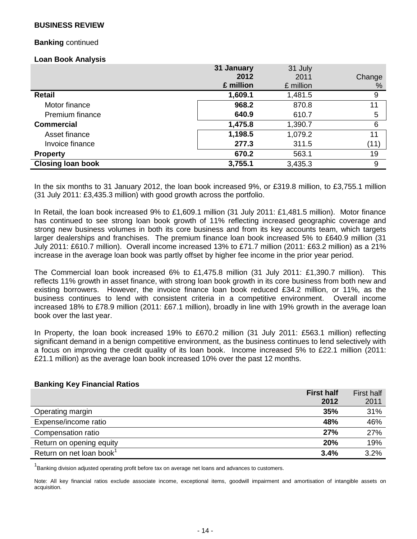#### **Banking** continued

#### **Loan Book Analysis**

|                          | 31 January | 31 July   |        |
|--------------------------|------------|-----------|--------|
|                          | 2012       | 2011      | Change |
|                          | £ million  | £ million | %      |
| Retail                   | 1,609.1    | 1,481.5   | 9      |
| Motor finance            | 968.2      | 870.8     | 11     |
| <b>Premium finance</b>   | 640.9      | 610.7     | 5      |
| <b>Commercial</b>        | 1,475.8    | 1,390.7   | 6      |
| Asset finance            | 1,198.5    | 1,079.2   | 11     |
| Invoice finance          | 277.3      | 311.5     | (11)   |
| <b>Property</b>          | 670.2      | 563.1     | 19     |
| <b>Closing loan book</b> | 3,755.1    | 3,435.3   | 9      |

In the six months to 31 January 2012, the loan book increased 9%, or £319.8 million, to £3,755.1 million (31 July 2011: £3,435.3 million) with good growth across the portfolio.

In Retail, the loan book increased 9% to £1,609.1 million (31 July 2011: £1,481.5 million). Motor finance has continued to see strong loan book growth of 11% reflecting increased geographic coverage and strong new business volumes in both its core business and from its key accounts team, which targets larger dealerships and franchises. The premium finance loan book increased 5% to £640.9 million (31 July 2011: £610.7 million). Overall income increased 13% to £71.7 million (2011: £63.2 million) as a 21% increase in the average loan book was partly offset by higher fee income in the prior year period.

The Commercial loan book increased 6% to £1,475.8 million (31 July 2011: £1,390.7 million). This reflects 11% growth in asset finance, with strong loan book growth in its core business from both new and existing borrowers. However, the invoice finance loan book reduced £34.2 million, or 11%, as the business continues to lend with consistent criteria in a competitive environment. Overall income increased 18% to £78.9 million (2011: £67.1 million), broadly in line with 19% growth in the average loan book over the last year.

In Property, the loan book increased 19% to £670.2 million (31 July 2011: £563.1 million) reflecting significant demand in a benign competitive environment, as the business continues to lend selectively with a focus on improving the credit quality of its loan book. Income increased 5% to £22.1 million (2011: £21.1 million) as the average loan book increased 10% over the past 12 months.

#### **Banking Key Financial Ratios**

|                                      | <b>First half</b> | First half |
|--------------------------------------|-------------------|------------|
|                                      | 2012              | 2011       |
| Operating margin                     | 35%               | 31%        |
| Expense/income ratio                 | 48%               | 46%        |
| Compensation ratio                   | 27%               | 27%        |
| Return on opening equity             | 20%               | 19%        |
| Return on net loan book <sup>1</sup> | 3.4%              | 3.2%       |

<sup>1</sup> Banking division adjusted operating profit before tax on average net loans and advances to customers.

Note: All key financial ratios exclude associate income, exceptional items, goodwill impairment and amortisation of intangible assets on acquisition.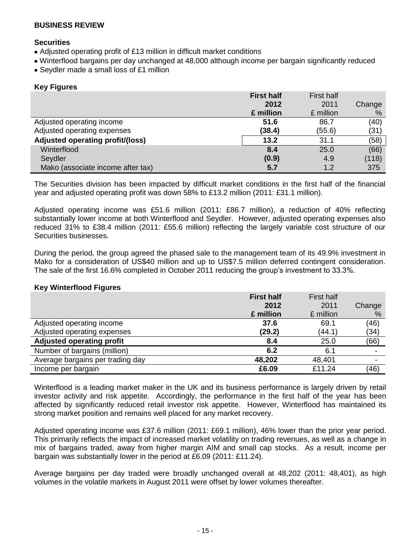## **Securities**

- Adjusted operating profit of £13 million in difficult market conditions
- Winterflood bargains per day unchanged at 48,000 although income per bargain significantly reduced
- Seydler made a small loss of £1 million

### **Key Figures**

|                                   | <b>First half</b> | <b>First half</b> |        |
|-----------------------------------|-------------------|-------------------|--------|
|                                   | 2012              | 2011              | Change |
|                                   | £ million         | £ million         | %      |
| Adjusted operating income         | 51.6              | 86.7              | (40)   |
| Adjusted operating expenses       | (38.4)            | (55.6)            | (31)   |
| Adjusted operating profit/(loss)  | 13.2              | 31.1              | (58)   |
| Winterflood                       | 8.4               | 25.0              | (66)   |
| Seydler                           | (0.9)             | 4.9               | (118)  |
| Mako (associate income after tax) | 5.7               | 1.2               | 375    |

The Securities division has been impacted by difficult market conditions in the first half of the financial year and adjusted operating profit was down 58% to £13.2 million (2011: £31.1 million).

Adjusted operating income was £51.6 million (2011: £86.7 million), a reduction of 40% reflecting substantially lower income at both Winterflood and Seydler. However, adjusted operating expenses also reduced 31% to £38.4 million (2011: £55.6 million) reflecting the largely variable cost structure of our Securities businesses.

During the period, the group agreed the phased sale to the management team of its 49.9% investment in Mako for a consideration of US\$40 million and up to US\$7.5 million deferred contingent consideration. The sale of the first 16.6% completed in October 2011 reducing the group's investment to 33.3%.

#### **Key Winterflood Figures**

|                                  | <b>First half</b><br>2012<br>£ million | <b>First half</b><br>2011<br>£ million | Change<br>%              |
|----------------------------------|----------------------------------------|----------------------------------------|--------------------------|
| Adjusted operating income        | 37.6                                   | 69.1                                   | (46)                     |
| Adjusted operating expenses      | (29.2)                                 | (44.1)                                 | (34)                     |
| <b>Adjusted operating profit</b> | 8.4                                    | 25.0                                   | (66)                     |
| Number of bargains (million)     | 6.2                                    | 6.1                                    | $\overline{\phantom{a}}$ |
| Average bargains per trading day | 48,202                                 | 48,401                                 |                          |
| Income per bargain               | £6.09                                  | £11.24                                 | (46)                     |

Winterflood is a leading market maker in the UK and its business performance is largely driven by retail investor activity and risk appetite. Accordingly, the performance in the first half of the year has been affected by significantly reduced retail investor risk appetite. However, Winterflood has maintained its strong market position and remains well placed for any market recovery.

Adjusted operating income was £37.6 million (2011: £69.1 million), 46% lower than the prior year period. This primarily reflects the impact of increased market volatility on trading revenues, as well as a change in mix of bargains traded, away from higher margin AIM and small cap stocks. As a result, income per bargain was substantially lower in the period at £6.09 (2011: £11.24).

Average bargains per day traded were broadly unchanged overall at 48,202 (2011: 48,401), as high volumes in the volatile markets in August 2011 were offset by lower volumes thereafter.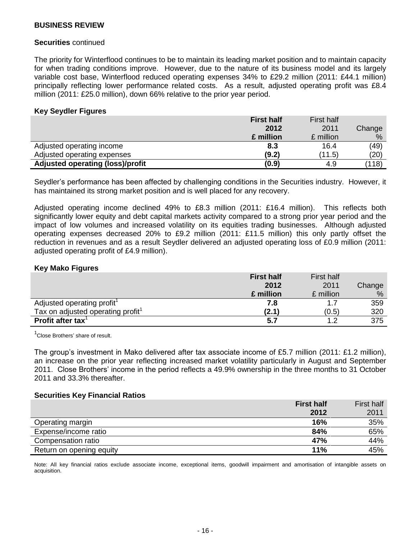#### **Securities** continued

The priority for Winterflood continues to be to maintain its leading market position and to maintain capacity for when trading conditions improve. However, due to the nature of its business model and its largely variable cost base, Winterflood reduced operating expenses 34% to £29.2 million (2011: £44.1 million) principally reflecting lower performance related costs. As a result, adjusted operating profit was £8.4 million (2011: £25.0 million), down 66% relative to the prior year period.

#### **Key Seydler Figures**

|                                         | <b>First half</b> | <b>First half</b> |        |
|-----------------------------------------|-------------------|-------------------|--------|
|                                         | 2012              | 2011              | Change |
|                                         | £ million         | £ million         | %      |
| Adjusted operating income               | 8.3               | 16.4              | (49)   |
| Adjusted operating expenses             | (9.2)             | (11.5)            | (20)   |
| <b>Adjusted operating (loss)/profit</b> | (0.9)             | 4.9               | (118)  |

Seydler's performance has been affected by challenging conditions in the Securities industry. However, it has maintained its strong market position and is well placed for any recovery.

Adjusted operating income declined 49% to £8.3 million (2011: £16.4 million). This reflects both significantly lower equity and debt capital markets activity compared to a strong prior year period and the impact of low volumes and increased volatility on its equities trading businesses. Although adjusted operating expenses decreased 20% to £9.2 million (2011: £11.5 million) this only partly offset the reduction in revenues and as a result Seydler delivered an adjusted operating loss of £0.9 million (2011: adjusted operating profit of £4.9 million).

#### **Key Mako Figures**

|                                               | <b>First half</b> | <b>First half</b> |        |
|-----------------------------------------------|-------------------|-------------------|--------|
|                                               | 2012              | 2011              | Change |
|                                               | £ million         | £ million         | $\%$   |
| Adjusted operating profit <sup>1</sup>        | 7.8               |                   | 359    |
| Tax on adjusted operating profit <sup>1</sup> | (2.1)             | (0.5)             | 320    |
| Profit after tax $1$                          | 5.7               |                   | 375    |

<sup>1</sup> Close Brothers' share of result.

The group's investment in Mako delivered after tax associate income of £5.7 million (2011: £1.2 million), an increase on the prior year reflecting increased market volatility particularly in August and September 2011. Close Brothers' income in the period reflects a 49.9% ownership in the three months to 31 October 2011 and 33.3% thereafter.

#### **Securities Key Financial Ratios**

|                          | <b>First half</b> | <b>First half</b> |
|--------------------------|-------------------|-------------------|
|                          | 2012              | 2011              |
| Operating margin         | 16%               | 35%               |
| Expense/income ratio     | 84%               | 65%               |
| Compensation ratio       | 47%               | 44%               |
| Return on opening equity | 11%               | 45%               |

Note: All key financial ratios exclude associate income, exceptional items, goodwill impairment and amortisation of intangible assets on acquisition.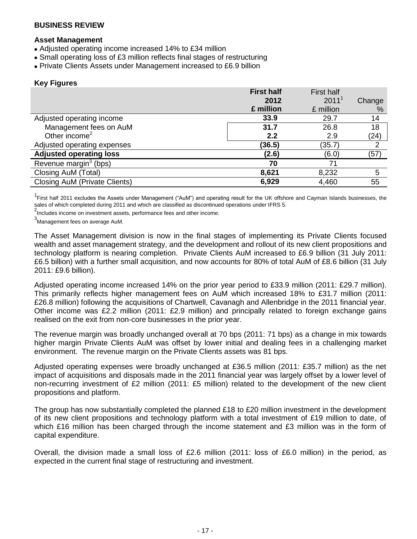#### **Asset Management**

- Adjusted operating income increased 14% to £34 million
- Small operating loss of £3 million reflects final stages of restructuring
- Private Clients Assets under Management increased to £6.9 billion

#### **Key Figures**

| 2011 <sup>1</sup><br>2012                              | Change |
|--------------------------------------------------------|--------|
| £ million<br>£ million                                 | %      |
| Adjusted operating income<br>29.7<br>33.9              | 14     |
| Management fees on AuM<br>31.7<br>26.8                 | 18     |
| Other income <sup>2</sup><br>2.2<br>2.9                | (24)   |
| (36.5)<br>Adjusted operating expenses<br>(35.7)        | 2      |
| <b>Adjusted operating loss</b><br>(2.6)<br>(6.0)       | (57)   |
| Revenue margin <sup>3</sup> (bps)<br>70                |        |
| Closing AuM (Total)<br>8,621<br>8,232                  | 5      |
| <b>Closing AuM (Private Clients)</b><br>6,929<br>4,460 | 55     |

<sup>1</sup> First half 2011 excludes the Assets under Management ("AuM") and operating result for the UK offshore and Cayman Islands businesses, the sales of which completed during 2011 and which are classified as discontinued operations under IFRS 5.

<sup>2</sup>Includes income on investment assets, performance fees and other income.

<sup>3</sup>Management fees on average AuM.

The Asset Management division is now in the final stages of implementing its Private Clients focused wealth and asset management strategy, and the development and rollout of its new client propositions and technology platform is nearing completion. Private Clients AuM increased to £6.9 billion (31 July 2011: £6.5 billion) with a further small acquisition, and now accounts for 80% of total AuM of £8.6 billion (31 July 2011: £9.6 billion).

Adjusted operating income increased 14% on the prior year period to £33.9 million (2011: £29.7 million). This primarily reflects higher management fees on AuM which increased 18% to £31.7 million (2011: £26.8 million) following the acquisitions of Chartwell, Cavanagh and Allenbridge in the 2011 financial year. Other income was £2.2 million (2011: £2.9 million) and principally related to foreign exchange gains realised on the exit from non-core businesses in the prior year.

The revenue margin was broadly unchanged overall at 70 bps (2011: 71 bps) as a change in mix towards higher margin Private Clients AuM was offset by lower initial and dealing fees in a challenging market environment. The revenue margin on the Private Clients assets was 81 bps.

Adjusted operating expenses were broadly unchanged at £36.5 million (2011: £35.7 million) as the net impact of acquisitions and disposals made in the 2011 financial year was largely offset by a lower level of non-recurring investment of £2 million (2011: £5 million) related to the development of the new client propositions and platform.

The group has now substantially completed the planned £18 to £20 million investment in the development of its new client propositions and technology platform with a total investment of £19 million to date, of which £16 million has been charged through the income statement and £3 million was in the form of capital expenditure.

Overall, the division made a small loss of £2.6 million (2011: loss of £6.0 million) in the period, as expected in the current final stage of restructuring and investment.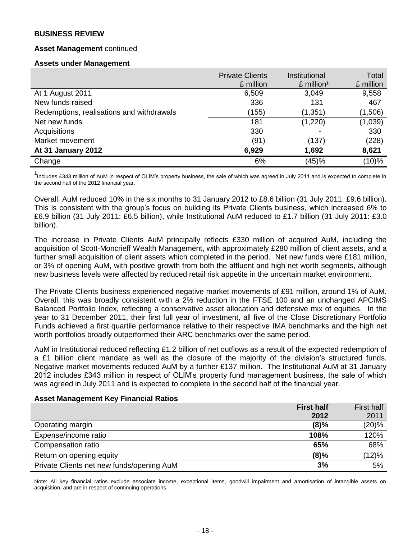### **Asset Management** continued

#### **Assets under Management**

|                                           | <b>Private Clients</b><br>Institutional |                          | Total     |  |
|-------------------------------------------|-----------------------------------------|--------------------------|-----------|--|
|                                           | £ million                               | $£$ million <sup>1</sup> | £ million |  |
| At 1 August 2011                          | 6,509                                   | 3,049                    | 9,558     |  |
| New funds raised                          | 336                                     | 131                      | 467       |  |
| Redemptions, realisations and withdrawals | (155)                                   | (1, 351)                 | (1,506)   |  |
| Net new funds                             | 181                                     | (1,220)                  | (1,039)   |  |
| Acquisitions                              | 330                                     |                          | 330       |  |
| Market movement                           | (91)                                    | (137)                    | (228)     |  |
| At 31 January 2012                        | 6,929                                   | 1,692                    | 8,621     |  |
| Change                                    | 6%                                      | (45)%                    | $(10)\%$  |  |

<sup>1</sup>Includes £343 million of AuM in respect of OLIM's property business, the sale of which was agreed in July 2011 and is expected to complete in the second half of the 2012 financial year.

Overall, AuM reduced 10% in the six months to 31 January 2012 to £8.6 billion (31 July 2011: £9.6 billion). This is consistent with the group's focus on building its Private Clients business, which increased 6% to £6.9 billion (31 July 2011: £6.5 billion), while Institutional AuM reduced to £1.7 billion (31 July 2011: £3.0 billion).

The increase in Private Clients AuM principally reflects £330 million of acquired AuM, including the acquisition of Scott-Moncrieff Wealth Management, with approximately £280 million of client assets, and a further small acquisition of client assets which completed in the period. Net new funds were £181 million, or 3% of opening AuM, with positive growth from both the affluent and high net worth segments, although new business levels were affected by reduced retail risk appetite in the uncertain market environment.

The Private Clients business experienced negative market movements of £91 million, around 1% of AuM. Overall, this was broadly consistent with a 2% reduction in the FTSE 100 and an unchanged APCIMS Balanced Portfolio Index, reflecting a conservative asset allocation and defensive mix of equities. In the year to 31 December 2011, their first full year of investment, all five of the Close Discretionary Portfolio Funds achieved a first quartile performance relative to their respective IMA benchmarks and the high net worth portfolios broadly outperformed their ARC benchmarks over the same period.

AuM in Institutional reduced reflecting £1.2 billion of net outflows as a result of the expected redemption of a £1 billion client mandate as well as the closure of the majority of the division's structured funds. Negative market movements reduced AuM by a further £137 million. The Institutional AuM at 31 January 2012 includes £343 million in respect of OLIM's property fund management business, the sale of which was agreed in July 2011 and is expected to complete in the second half of the financial year.

#### **Asset Management Key Financial Ratios**

|                                           | <b>First half</b> | <b>First half</b> |
|-------------------------------------------|-------------------|-------------------|
|                                           | 2012              | 2011              |
| Operating margin                          | $(8)\%$           | (20)%             |
| Expense/income ratio                      | 108%              | 120%              |
| Compensation ratio                        | 65%               | 68%               |
| Return on opening equity                  | $(8)\%$           | (12)%             |
| Private Clients net new funds/opening AuM | 3%                | 5%                |

Note: All key financial ratios exclude associate income, exceptional items, goodwill impairment and amortisation of intangible assets on acquisition, and are in respect of continuing operations.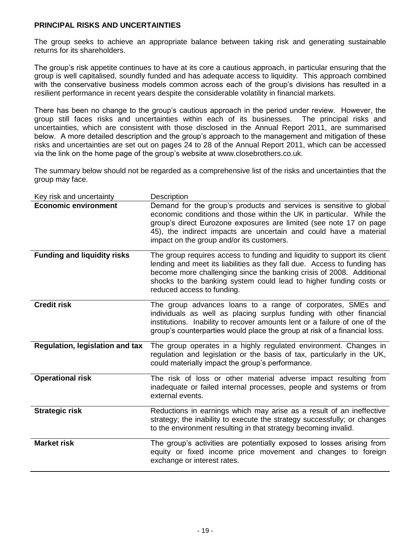## **PRINCIPAL RISKS AND UNCERTAINTIES**

The group seeks to achieve an appropriate balance between taking risk and generating sustainable returns for its shareholders.

The group's risk appetite continues to have at its core a cautious approach, in particular ensuring that the group is well capitalised, soundly funded and has adequate access to liquidity. This approach combined with the conservative business models common across each of the group's divisions has resulted in a resilient performance in recent years despite the considerable volatility in financial markets.

There has been no change to the group's cautious approach in the period under review. However, the group still faces risks and uncertainties within each of its businesses. The principal risks and uncertainties, which are consistent with those disclosed in the Annual Report 2011, are summarised below. A more detailed description and the group's approach to the management and mitigation of these risks and uncertainties are set out on pages 24 to 28 of the Annual Report 2011, which can be accessed via the link on the home page of the group's website at www.closebrothers.co.uk.

The summary below should not be regarded as a comprehensive list of the risks and uncertainties that the group may face.

| Key risk and uncertainty               | Description                                                                                                                                                                                                                                                                                                                         |
|----------------------------------------|-------------------------------------------------------------------------------------------------------------------------------------------------------------------------------------------------------------------------------------------------------------------------------------------------------------------------------------|
| <b>Economic environment</b>            | Demand for the group's products and services is sensitive to global<br>economic conditions and those within the UK in particular. While the<br>group's direct Eurozone exposures are limited (see note 17 on page<br>45), the indirect impacts are uncertain and could have a material<br>impact on the group and/or its customers. |
| <b>Funding and liquidity risks</b>     | The group requires access to funding and liquidity to support its client<br>lending and meet its liabilities as they fall due. Access to funding has<br>become more challenging since the banking crisis of 2008. Additional<br>shocks to the banking system could lead to higher funding costs or<br>reduced access to funding.    |
| <b>Credit risk</b>                     | The group advances loans to a range of corporates, SMEs and<br>individuals as well as placing surplus funding with other financial<br>institutions. Inability to recover amounts lent or a failure of one of the<br>group's counterparties would place the group at risk of a financial loss.                                       |
| <b>Regulation, legislation and tax</b> | The group operates in a highly regulated environment. Changes in<br>regulation and legislation or the basis of tax, particularly in the UK,<br>could materially impact the group's performance.                                                                                                                                     |
| <b>Operational risk</b>                | The risk of loss or other material adverse impact resulting from<br>inadequate or failed internal processes, people and systems or from<br>external events.                                                                                                                                                                         |
| <b>Strategic risk</b>                  | Reductions in earnings which may arise as a result of an ineffective<br>strategy; the inability to execute the strategy successfully; or changes<br>to the environment resulting in that strategy becoming invalid.                                                                                                                 |
| <b>Market risk</b>                     | The group's activities are potentially exposed to losses arising from<br>equity or fixed income price movement and changes to foreign<br>exchange or interest rates.                                                                                                                                                                |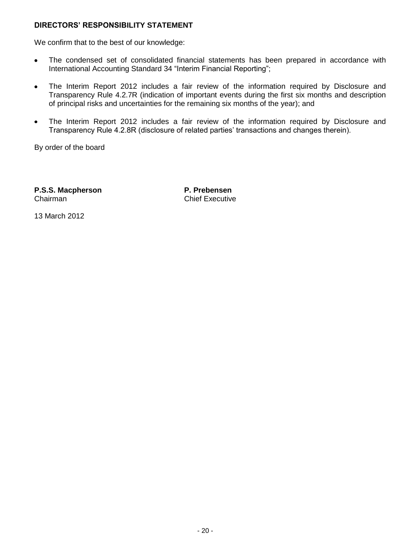## **DIRECTORS' RESPONSIBILITY STATEMENT**

We confirm that to the best of our knowledge:

- The condensed set of consolidated financial statements has been prepared in accordance with  $\bullet$ International Accounting Standard 34 "Interim Financial Reporting";
- The Interim Report 2012 includes a fair review of the information required by Disclosure and  $\bullet$ Transparency Rule 4.2.7R (indication of important events during the first six months and description of principal risks and uncertainties for the remaining six months of the year); and
- The Interim Report 2012 includes a fair review of the information required by Disclosure and  $\bullet$ Transparency Rule 4.2.8R (disclosure of related parties' transactions and changes therein).

By order of the board

**P.S.S. Macpherson P. Prebensen** Chairman Chairman Chief Executive

13 March 2012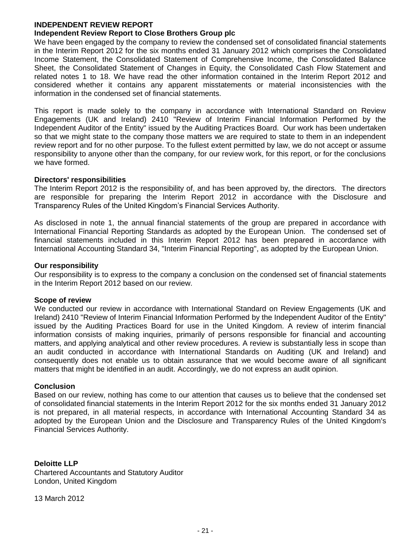#### **INDEPENDENT REVIEW REPORT Independent Review Report to Close Brothers Group plc**

We have been engaged by the company to review the condensed set of consolidated financial statements in the Interim Report 2012 for the six months ended 31 January 2012 which comprises the Consolidated Income Statement, the Consolidated Statement of Comprehensive Income, the Consolidated Balance Sheet, the Consolidated Statement of Changes in Equity, the Consolidated Cash Flow Statement and related notes 1 to 18. We have read the other information contained in the Interim Report 2012 and considered whether it contains any apparent misstatements or material inconsistencies with the information in the condensed set of financial statements.

This report is made solely to the company in accordance with International Standard on Review Engagements (UK and Ireland) 2410 "Review of Interim Financial Information Performed by the Independent Auditor of the Entity" issued by the Auditing Practices Board. Our work has been undertaken so that we might state to the company those matters we are required to state to them in an independent review report and for no other purpose. To the fullest extent permitted by law, we do not accept or assume responsibility to anyone other than the company, for our review work, for this report, or for the conclusions we have formed.

#### **Directors' responsibilities**

The Interim Report 2012 is the responsibility of, and has been approved by, the directors. The directors are responsible for preparing the Interim Report 2012 in accordance with the Disclosure and Transparency Rules of the United Kingdom's Financial Services Authority.

As disclosed in note 1, the annual financial statements of the group are prepared in accordance with International Financial Reporting Standards as adopted by the European Union. The condensed set of financial statements included in this Interim Report 2012 has been prepared in accordance with International Accounting Standard 34, "Interim Financial Reporting", as adopted by the European Union.

#### **Our responsibility**

Our responsibility is to express to the company a conclusion on the condensed set of financial statements in the Interim Report 2012 based on our review.

#### **Scope of review**

We conducted our review in accordance with International Standard on Review Engagements (UK and Ireland) 2410 "Review of Interim Financial Information Performed by the Independent Auditor of the Entity" issued by the Auditing Practices Board for use in the United Kingdom. A review of interim financial information consists of making inquiries, primarily of persons responsible for financial and accounting matters, and applying analytical and other review procedures. A review is substantially less in scope than an audit conducted in accordance with International Standards on Auditing (UK and Ireland) and consequently does not enable us to obtain assurance that we would become aware of all significant matters that might be identified in an audit. Accordingly, we do not express an audit opinion.

#### **Conclusion**

Based on our review, nothing has come to our attention that causes us to believe that the condensed set of consolidated financial statements in the Interim Report 2012 for the six months ended 31 January 2012 is not prepared, in all material respects, in accordance with International Accounting Standard 34 as adopted by the European Union and the Disclosure and Transparency Rules of the United Kingdom's Financial Services Authority.

## **Deloitte LLP**

Chartered Accountants and Statutory Auditor London, United Kingdom

13 March 2012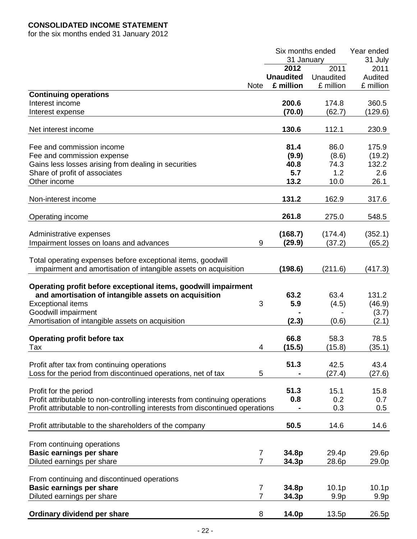## **CONSOLIDATED INCOME STATEMENT**

for the six months ended 31 January 2012

|                                                                                                                                |                | Six months ended<br>31 January |                   | Year ended<br>31 July |
|--------------------------------------------------------------------------------------------------------------------------------|----------------|--------------------------------|-------------------|-----------------------|
|                                                                                                                                |                | 2012                           | 2011              | 2011                  |
|                                                                                                                                |                | <b>Unaudited</b>               | Unaudited         | Audited               |
|                                                                                                                                | <b>Note</b>    | £ million                      | £ million         | £ million             |
| <b>Continuing operations</b>                                                                                                   |                |                                |                   |                       |
| Interest income                                                                                                                |                | 200.6                          | 174.8             | 360.5                 |
| Interest expense                                                                                                               |                | (70.0)                         | (62.7)            | (129.6)               |
|                                                                                                                                |                |                                |                   |                       |
| Net interest income                                                                                                            |                | 130.6                          | 112.1             | 230.9                 |
|                                                                                                                                |                | 81.4                           |                   |                       |
| Fee and commission income                                                                                                      |                |                                | 86.0              | 175.9                 |
| Fee and commission expense                                                                                                     |                | (9.9)                          | (8.6)             | (19.2)                |
| Gains less losses arising from dealing in securities                                                                           |                | 40.8                           | 74.3              | 132.2                 |
| Share of profit of associates                                                                                                  |                | 5.7                            | 1.2               | 2.6                   |
| Other income                                                                                                                   |                | 13.2                           | 10.0              | 26.1                  |
| Non-interest income                                                                                                            |                | 131.2                          | 162.9             | 317.6                 |
|                                                                                                                                |                |                                |                   |                       |
| Operating income                                                                                                               |                | 261.8                          | 275.0             | 548.5                 |
|                                                                                                                                |                |                                |                   |                       |
| Administrative expenses                                                                                                        |                | (168.7)                        | (174.4)           | (352.1)               |
| Impairment losses on loans and advances                                                                                        | 9              | (29.9)                         | (37.2)            | (65.2)                |
|                                                                                                                                |                |                                |                   |                       |
| Total operating expenses before exceptional items, goodwill<br>impairment and amortisation of intangible assets on acquisition |                | (198.6)                        | (211.6)           | (417.3)               |
|                                                                                                                                |                |                                |                   |                       |
| Operating profit before exceptional items, goodwill impairment                                                                 |                |                                |                   |                       |
| and amortisation of intangible assets on acquisition                                                                           |                | 63.2                           | 63.4              | 131.2                 |
|                                                                                                                                |                |                                |                   |                       |
| <b>Exceptional items</b>                                                                                                       | 3              | 5.9                            | (4.5)             | (46.9)                |
| Goodwill impairment                                                                                                            |                |                                |                   | (3.7)                 |
| Amortisation of intangible assets on acquisition                                                                               |                | (2.3)                          | (0.6)             | (2.1)                 |
|                                                                                                                                |                |                                |                   |                       |
| <b>Operating profit before tax</b>                                                                                             |                | 66.8                           | 58.3              | 78.5                  |
| Tax                                                                                                                            | 4              | (15.5)                         | (15.8)            | (35.1)                |
|                                                                                                                                |                |                                |                   |                       |
| Profit after tax from continuing operations                                                                                    |                | 51.3                           | 42.5              | 43.4                  |
| Loss for the period from discontinued operations, net of tax                                                                   | 5              |                                | (27.4)            | (27.6)                |
|                                                                                                                                |                |                                |                   |                       |
| Profit for the period                                                                                                          |                | 51.3                           | 15.1              | 15.8                  |
| Profit attributable to non-controlling interests from continuing operations                                                    |                | 0.8                            | 0.2               | 0.7                   |
| Profit attributable to non-controlling interests from discontinued operations                                                  |                |                                | 0.3               | 0.5                   |
|                                                                                                                                |                |                                |                   |                       |
| Profit attributable to the shareholders of the company                                                                         |                | 50.5                           | 14.6              | 14.6                  |
|                                                                                                                                |                |                                |                   |                       |
| From continuing operations                                                                                                     |                |                                |                   |                       |
| <b>Basic earnings per share</b>                                                                                                | $\overline{7}$ | 34.8p                          | 29.4p             | 29.6p                 |
| Diluted earnings per share                                                                                                     | $\overline{7}$ | 34.3p                          | 28.6p             | 29.0p                 |
|                                                                                                                                |                |                                |                   |                       |
| From continuing and discontinued operations                                                                                    |                |                                |                   |                       |
| <b>Basic earnings per share</b>                                                                                                | $\overline{7}$ | 34.8p                          | 10.1 <sub>p</sub> | 10.1 <sub>p</sub>     |
| Diluted earnings per share                                                                                                     | $\overline{7}$ | 34.3p                          | 9.9 <sub>p</sub>  | 9.9 <sub>p</sub>      |
|                                                                                                                                |                |                                |                   |                       |
| Ordinary dividend per share                                                                                                    | 8              | 14.0p                          | 13.5p             | 26.5p                 |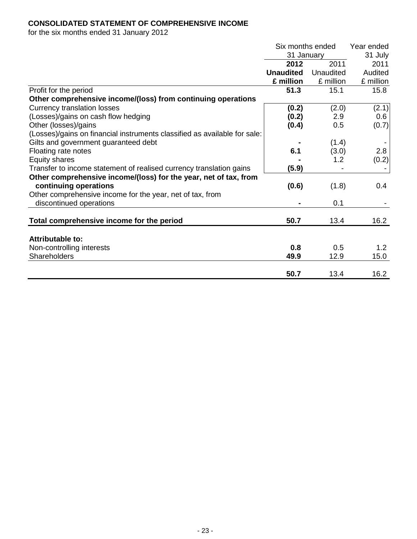## **CONSOLIDATED STATEMENT OF COMPREHENSIVE INCOME**

for the six months ended 31 January 2012

|                                                                           | Six months ended |           | Year ended |
|---------------------------------------------------------------------------|------------------|-----------|------------|
|                                                                           | 31 January       |           | 31 July    |
|                                                                           | 2012             | 2011      | 2011       |
|                                                                           | <b>Unaudited</b> | Unaudited | Audited    |
|                                                                           | £ million        | £ million | £ million  |
| Profit for the period                                                     | 51.3             | 15.1      | 15.8       |
| Other comprehensive income/(loss) from continuing operations              |                  |           |            |
| <b>Currency translation losses</b>                                        | (0.2)            | (2.0)     | (2.1)      |
| (Losses)/gains on cash flow hedging                                       | (0.2)            | 2.9       | 0.6        |
| Other (losses)/gains                                                      | (0.4)            | 0.5       | (0.7)      |
| (Losses)/gains on financial instruments classified as available for sale: |                  |           |            |
| Gilts and government guaranteed debt                                      |                  | (1.4)     |            |
| Floating rate notes                                                       | 6.1              | (3.0)     | 2.8        |
| <b>Equity shares</b>                                                      |                  | 1.2       | (0.2)      |
| Transfer to income statement of realised currency translation gains       | (5.9)            |           |            |
| Other comprehensive income/(loss) for the year, net of tax, from          |                  |           |            |
| continuing operations                                                     | (0.6)            | (1.8)     | 0.4        |
| Other comprehensive income for the year, net of tax, from                 |                  |           |            |
| discontinued operations                                                   |                  | 0.1       |            |
|                                                                           |                  |           |            |
| Total comprehensive income for the period                                 | 50.7             | 13.4      | 16.2       |
|                                                                           |                  |           |            |
| Attributable to:                                                          |                  |           |            |
| Non-controlling interests                                                 | 0.8              | 0.5       | 1.2        |
| Shareholders                                                              | 49.9             | 12.9      | 15.0       |
|                                                                           |                  |           |            |
|                                                                           | 50.7             | 13.4      | 16.2       |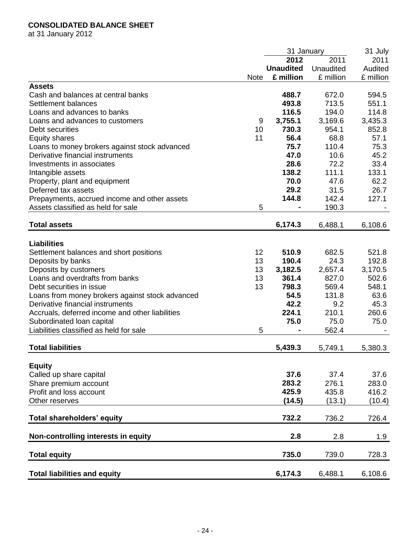## **CONSOLIDATED BALANCE SHEET**

at 31 January 2012

|                                                 |             | 31 January       |           | 31 July   |
|-------------------------------------------------|-------------|------------------|-----------|-----------|
|                                                 |             | 2012             | 2011      | 2011      |
|                                                 |             | <b>Unaudited</b> | Unaudited | Audited   |
|                                                 | <b>Note</b> | £ million        | £ million | £ million |
| <b>Assets</b>                                   |             |                  |           |           |
| Cash and balances at central banks              |             | 488.7            | 672.0     | 594.5     |
| Settlement balances                             |             | 493.8            | 713.5     | 551.1     |
| Loans and advances to banks                     |             | 116.5            | 194.0     | 114.8     |
| Loans and advances to customers                 | 9           | 3,755.1          | 3,169.6   | 3,435.3   |
| Debt securities                                 | 10          | 730.3            | 954.1     | 852.8     |
| <b>Equity shares</b>                            | 11          | 56.4             | 68.8      | 57.1      |
| Loans to money brokers against stock advanced   |             | 75.7             | 110.4     | 75.3      |
| Derivative financial instruments                |             | 47.0             | 10.6      | 45.2      |
| Investments in associates                       |             | 28.6             | 72.2      | 33.4      |
| Intangible assets                               |             | 138.2            | 111.1     | 133.1     |
| Property, plant and equipment                   |             | 70.0             | 47.6      | 62.2      |
| Deferred tax assets                             |             | 29.2             | 31.5      | 26.7      |
| Prepayments, accrued income and other assets    |             | 144.8            | 142.4     | 127.1     |
| Assets classified as held for sale              | 5           |                  | 190.3     |           |
|                                                 |             |                  |           |           |
| <b>Total assets</b>                             |             | 6,174.3          | 6,488.1   | 6,108.6   |
|                                                 |             |                  |           |           |
| <b>Liabilities</b>                              |             |                  |           |           |
| Settlement balances and short positions         | 12          | 510.9            | 682.5     | 521.8     |
| Deposits by banks                               | 13          | 190.4            | 24.3      | 192.8     |
| Deposits by customers                           | 13          | 3,182.5          | 2,657.4   | 3,170.5   |
| Loans and overdrafts from banks                 | 13          | 361.4            | 827.0     | 502.6     |
| Debt securities in issue                        | 13          | 798.3            | 569.4     | 548.1     |
| Loans from money brokers against stock advanced |             | 54.5             | 131.8     | 63.6      |
| Derivative financial instruments                |             | 42.2             | 9.2       | 45.3      |
| Accruals, deferred income and other liabilities |             | 224.1            | 210.1     | 260.6     |
| Subordinated loan capital                       |             | 75.0             | 75.0      | 75.0      |
| Liabilities classified as held for sale         | 5           |                  | 562.4     |           |
| <b>Total liabilities</b>                        |             | 5,439.3          | 5,749.1   | 5,380.3   |
|                                                 |             |                  |           |           |
| <b>Equity</b>                                   |             |                  |           |           |
| Called up share capital                         |             | 37.6             | 37.4      | 37.6      |
| Share premium account                           |             | 283.2            | 276.1     | 283.0     |
| Profit and loss account                         |             | 425.9            | 435.8     | 416.2     |
| Other reserves                                  |             | (14.5)           | (13.1)    | (10.4)    |
|                                                 |             |                  |           |           |
| <b>Total shareholders' equity</b>               |             | 732.2            | 736.2     | 726.4     |
| Non-controlling interests in equity             |             | 2.8              | 2.8       | 1.9       |
| <b>Total equity</b>                             |             | 735.0            | 739.0     | 728.3     |
|                                                 |             |                  |           |           |
| <b>Total liabilities and equity</b>             |             | 6,174.3          | 6,488.1   | 6,108.6   |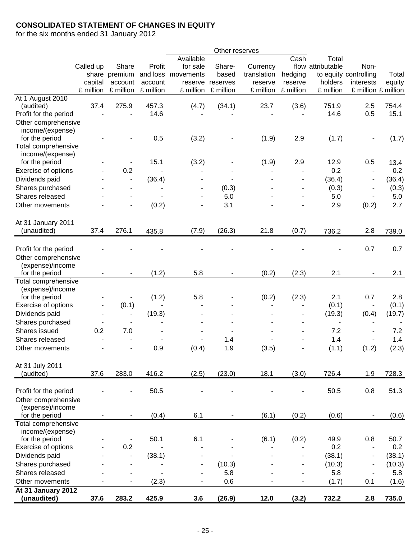## **CONSOLIDATED STATEMENT OF CHANGES IN EQUITY**

for the six months ended 31 January 2012

|                                         |           |                          |                |                          | Other reserves |             |                |                   |                          |        |
|-----------------------------------------|-----------|--------------------------|----------------|--------------------------|----------------|-------------|----------------|-------------------|--------------------------|--------|
|                                         |           |                          |                | Available                |                |             | Cash           | Total             |                          |        |
|                                         | Called up | Share                    | Profit         | for sale                 | Share-         | Currency    |                | flow attributable | Non-                     |        |
|                                         |           | share premium            | and loss       | movements                | based          | translation | hedging        |                   | to equity controlling    | Total  |
|                                         | capital   | account                  | account        | reserve                  | reserves       | reserve     | reserve        | holders           | interests                | equity |
|                                         | £ million | £ million                | £ million      | £ million                | £ million      | £ million   | £ million      | £ million         | £ million £ million      |        |
| At 1 August 2010                        |           |                          |                |                          |                |             |                |                   |                          |        |
| (audited)                               | 37.4      | 275.9                    | 457.3          | (4.7)                    | (34.1)         | 23.7        | (3.6)          | 751.9             | 2.5                      | 754.4  |
| Profit for the period                   |           |                          | 14.6           |                          |                |             |                | 14.6              | 0.5                      | 15.1   |
| Other comprehensive                     |           |                          |                |                          |                |             |                |                   |                          |        |
| income/(expense)                        |           |                          |                |                          |                |             |                |                   |                          |        |
| for the period                          |           |                          | 0.5            | (3.2)                    |                | (1.9)       | 2.9            | (1.7)             |                          | (1.7)  |
| Total comprehensive                     |           |                          |                |                          |                |             |                |                   |                          |        |
| income/(expense)                        |           |                          |                |                          |                |             |                |                   |                          |        |
| for the period                          |           |                          | 15.1           | (3.2)                    |                | (1.9)       | 2.9            | 12.9              | 0.5                      | 13.4   |
| Exercise of options                     |           | 0.2                      |                |                          |                |             |                | 0.2               | $\overline{\phantom{a}}$ | 0.2    |
| Dividends paid                          |           |                          | (36.4)         |                          |                |             |                | (36.4)            | $\overline{\phantom{a}}$ | (36.4) |
| Shares purchased                        |           |                          |                |                          | (0.3)          |             |                | (0.3)             | ٠                        | (0.3)  |
| Shares released                         |           |                          |                |                          | 5.0            |             | $\blacksquare$ | 5.0               |                          | 5.0    |
| Other movements                         |           | $\blacksquare$           | (0.2)          | $\overline{\phantom{a}}$ | 3.1            |             | $\blacksquare$ | 2.9               | (0.2)                    | 2.7    |
|                                         |           |                          |                |                          |                |             |                |                   |                          |        |
| At 31 January 2011                      |           |                          |                |                          |                |             |                |                   |                          |        |
| (unaudited)                             | 37.4      | 276.1                    | 435.8          | (7.9)                    | (26.3)         | 21.8        | (0.7)          | 736.2             | 2.8                      | 739.0  |
|                                         |           |                          |                |                          |                |             |                |                   |                          |        |
| Profit for the period                   |           |                          |                |                          |                |             |                |                   | 0.7                      | 0.7    |
| Other comprehensive                     |           |                          |                |                          |                |             |                |                   |                          |        |
| (expense)/income                        |           |                          |                |                          |                |             |                |                   |                          |        |
| for the period                          |           |                          | (1.2)          | 5.8                      |                | (0.2)       | (2.3)          | 2.1               |                          | 2.1    |
| Total comprehensive<br>(expense)/income |           |                          |                |                          |                |             |                |                   |                          |        |
| for the period                          |           |                          | (1.2)          | 5.8                      |                | (0.2)       | (2.3)          | 2.1               | 0.7                      | 2.8    |
| Exercise of options                     |           | (0.1)                    |                |                          |                |             |                | (0.1)             |                          | (0.1)  |
| Dividends paid                          |           | $\overline{\phantom{a}}$ | (19.3)         |                          |                |             |                | (19.3)            | (0.4)                    | (19.7) |
| Shares purchased                        |           |                          |                |                          |                |             |                |                   |                          |        |
| Shares issued                           | 0.2       | 7.0                      |                |                          |                |             |                | 7.2               |                          | 7.2    |
|                                         |           |                          |                |                          |                |             |                |                   |                          |        |
| Shares released                         |           |                          |                |                          | 1.4            |             |                | 1.4               |                          | 1.4    |
| Other movements                         |           |                          | 0.9            | (0.4)                    | 1.9            | (3.5)       |                | (1.1)             | (1.2)                    | (2.3)  |
| At 31 July 2011                         |           |                          |                |                          |                |             |                |                   |                          |        |
| (audited)                               | 37.6      | 283.0                    | 416.2          | (2.5)                    | (23.0)         | 18.1        | (3.0)          | 726.4             | 1.9                      | 728.3  |
|                                         |           |                          |                |                          |                |             |                |                   |                          |        |
| Profit for the period                   |           |                          | 50.5           |                          |                |             |                | 50.5              | 0.8                      | 51.3   |
| Other comprehensive                     |           |                          |                |                          |                |             |                |                   |                          |        |
| (expense)/income                        |           |                          |                |                          |                |             |                |                   |                          |        |
| for the period                          |           | $\overline{\phantom{a}}$ | (0.4)          | 6.1                      |                | (6.1)       | (0.2)          | (0.6)             |                          | (0.6)  |
| Total comprehensive                     |           |                          |                |                          |                |             |                |                   |                          |        |
| income/(expense)                        |           |                          |                |                          |                |             |                |                   |                          |        |
| for the period                          |           |                          | 50.1           | 6.1                      |                | (6.1)       | (0.2)          | 49.9              | 0.8                      | 50.7   |
| Exercise of options                     |           | 0.2                      |                |                          |                |             |                | 0.2               |                          | 0.2    |
| Dividends paid                          |           | ÷,                       | (38.1)         |                          |                |             |                | (38.1)            |                          | (38.1) |
| Shares purchased                        |           |                          |                |                          | (10.3)         |             |                | (10.3)            |                          | (10.3) |
| Shares released                         |           |                          | $\blacksquare$ |                          | 5.8            |             |                | 5.8               |                          | 5.8    |
| Other movements                         |           |                          | (2.3)          |                          | 0.6            |             |                | (1.7)             | 0.1                      | (1.6)  |
| At 31 January 2012                      |           |                          |                |                          |                |             |                |                   |                          |        |
| (unaudited)                             | 37.6      | 283.2                    | 425.9          | 3.6                      | (26.9)         | 12.0        | (3.2)          | 732.2             | 2.8                      | 735.0  |
|                                         |           |                          |                |                          |                |             |                |                   |                          |        |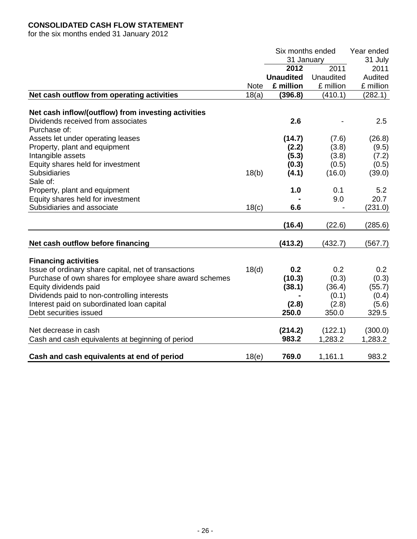## **CONSOLIDATED CASH FLOW STATEMENT**

for the six months ended 31 January 2012

|                                                         |             | Six months ended |                  | Year ended |
|---------------------------------------------------------|-------------|------------------|------------------|------------|
|                                                         |             | 31 January       |                  | 31 July    |
|                                                         |             | 2012             | 2011             | 2011       |
|                                                         |             | <b>Unaudited</b> | <b>Unaudited</b> | Audited    |
|                                                         | <b>Note</b> | £ million        | £ million        | £ million  |
| Net cash outflow from operating activities              | 18(a)       | (396.8)          | (410.1)          | (282.1)    |
| Net cash inflow/(outflow) from investing activities     |             |                  |                  |            |
| Dividends received from associates                      |             | 2.6              |                  | 2.5        |
| Purchase of:                                            |             |                  |                  |            |
| Assets let under operating leases                       |             | (14.7)           | (7.6)            | (26.8)     |
| Property, plant and equipment                           |             | (2.2)            | (3.8)            | (9.5)      |
| Intangible assets                                       |             | (5.3)            | (3.8)            | (7.2)      |
| Equity shares held for investment                       |             | (0.3)            | (0.5)            | (0.5)      |
| <b>Subsidiaries</b>                                     | 18(b)       | (4.1)            | (16.0)           | (39.0)     |
| Sale of:                                                |             |                  |                  |            |
| Property, plant and equipment                           |             | 1.0              | 0.1              | 5.2        |
| Equity shares held for investment                       |             |                  | 9.0              | 20.7       |
| Subsidiaries and associate                              | 18(c)       | 6.6              |                  | (231.0)    |
|                                                         |             | (16.4)           | (22.6)           | (285.6)    |
|                                                         |             |                  |                  |            |
| Net cash outflow before financing                       |             | (413.2)          | (432.7)          | (567.7)    |
| <b>Financing activities</b>                             |             |                  |                  |            |
| Issue of ordinary share capital, net of transactions    | 18(d)       | 0.2              | 0.2              | 0.2        |
| Purchase of own shares for employee share award schemes |             | (10.3)           | (0.3)            | (0.3)      |
| Equity dividends paid                                   |             | (38.1)           | (36.4)           | (55.7)     |
| Dividends paid to non-controlling interests             |             |                  | (0.1)            | (0.4)      |
| Interest paid on subordinated loan capital              |             | (2.8)            | (2.8)            | (5.6)      |
| Debt securities issued                                  |             | 250.0            | 350.0            | 329.5      |
|                                                         |             |                  |                  |            |
| Net decrease in cash                                    |             | (214.2)          | (122.1)          | (300.0)    |
| Cash and cash equivalents at beginning of period        |             | 983.2            | 1,283.2          | 1,283.2    |
| Cash and cash equivalents at end of period              | 18(e)       | 769.0            | 1,161.1          | 983.2      |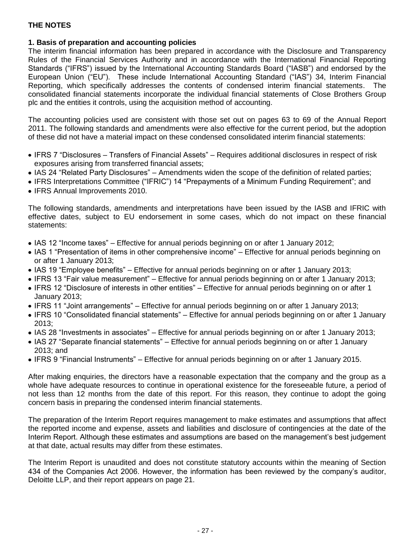## **1. Basis of preparation and accounting policies**

The interim financial information has been prepared in accordance with the Disclosure and Transparency Rules of the Financial Services Authority and in accordance with the International Financial Reporting Standards ("IFRS") issued by the International Accounting Standards Board ("IASB") and endorsed by the European Union ("EU"). These include International Accounting Standard ("IAS") 34, Interim Financial Reporting, which specifically addresses the contents of condensed interim financial statements. The consolidated financial statements incorporate the individual financial statements of Close Brothers Group plc and the entities it controls, using the acquisition method of accounting.

The accounting policies used are consistent with those set out on pages 63 to 69 of the Annual Report 2011. The following standards and amendments were also effective for the current period, but the adoption of these did not have a material impact on these condensed consolidated interim financial statements:

- IFRS 7 "Disclosures Transfers of Financial Assets" Requires additional disclosures in respect of risk exposures arising from transferred financial assets;
- IAS 24 "Related Party Disclosures" Amendments widen the scope of the definition of related parties;
- IFRS Interpretations Committee ("IFRIC") 14 "Prepayments of a Minimum Funding Requirement"; and
- IFRS Annual Improvements 2010.

The following standards, amendments and interpretations have been issued by the IASB and IFRIC with effective dates, subject to EU endorsement in some cases, which do not impact on these financial statements:

- IAS 12 "Income taxes" Effective for annual periods beginning on or after 1 January 2012;
- IAS 1 "Presentation of items in other comprehensive income" Effective for annual periods beginning on or after 1 January 2013;
- IAS 19 "Employee benefits" Effective for annual periods beginning on or after 1 January 2013;
- IFRS 13 "Fair value measurement" Effective for annual periods beginning on or after 1 January 2013;
- IFRS 12 "Disclosure of interests in other entities" Effective for annual periods beginning on or after 1 January 2013;
- IFRS 11 "Joint arrangements" Effective for annual periods beginning on or after 1 January 2013;
- IFRS 10 "Consolidated financial statements" Effective for annual periods beginning on or after 1 January 2013;
- IAS 28 "Investments in associates" Effective for annual periods beginning on or after 1 January 2013;
- IAS 27 "Separate financial statements" Effective for annual periods beginning on or after 1 January 2013; and
- IFRS 9 "Financial Instruments" Effective for annual periods beginning on or after 1 January 2015.

After making enquiries, the directors have a reasonable expectation that the company and the group as a whole have adequate resources to continue in operational existence for the foreseeable future, a period of not less than 12 months from the date of this report. For this reason, they continue to adopt the going concern basis in preparing the condensed interim financial statements.

The preparation of the Interim Report requires management to make estimates and assumptions that affect the reported income and expense, assets and liabilities and disclosure of contingencies at the date of the Interim Report. Although these estimates and assumptions are based on the management's best judgement at that date, actual results may differ from these estimates.

The Interim Report is unaudited and does not constitute statutory accounts within the meaning of Section 434 of the Companies Act 2006. However, the information has been reviewed by the company's auditor, Deloitte LLP, and their report appears on page 21.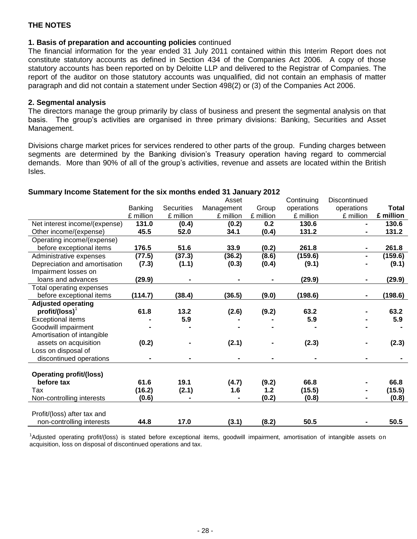## **1. Basis of preparation and accounting policies** continued

The financial information for the year ended 31 July 2011 contained within this Interim Report does not constitute statutory accounts as defined in Section 434 of the Companies Act 2006. A copy of those statutory accounts has been reported on by Deloitte LLP and delivered to the Registrar of Companies. The report of the auditor on those statutory accounts was unqualified, did not contain an emphasis of matter paragraph and did not contain a statement under Section 498(2) or (3) of the Companies Act 2006.

### **2. Segmental analysis**

The directors manage the group primarily by class of business and present the segmental analysis on that basis. The group's activities are organised in three primary divisions: Banking, Securities and Asset Management.

Divisions charge market prices for services rendered to other parts of the group. Funding charges between segments are determined by the Banking division's Treasury operation having regard to commercial demands. More than 90% of all of the group's activities, revenue and assets are located within the British Isles.

## **Summary Income Statement for the six months ended 31 January 2012**

|                                |           |            | Asset      |           | Continuing | Discontinued |              |
|--------------------------------|-----------|------------|------------|-----------|------------|--------------|--------------|
|                                | Banking   | Securities | Management | Group     | operations | operations   | <b>Total</b> |
|                                | £ million | £ million  | £ million  | £ million | £ million  | £ million    | £ million    |
| Net interest income/(expense)  | 131.0     | (0.4)      | (0.2)      | 0.2       | 130.6      |              | 130.6        |
| Other income/(expense)         | 45.5      | 52.0       | 34.1       | (0.4)     | 131.2      |              | 131.2        |
| Operating income/(expense)     |           |            |            |           |            |              |              |
| before exceptional items       | 176.5     | 51.6       | 33.9       | (0.2)     | 261.8      |              | 261.8        |
| Administrative expenses        | (77.5)    | (37.3)     | (36.2)     | (8.6)     | (159.6)    |              | (159.6)      |
| Depreciation and amortisation  | (7.3)     | (1.1)      | (0.3)      | (0.4)     | (9.1)      |              | (9.1)        |
| Impairment losses on           |           |            |            |           |            |              |              |
| loans and advances             | (29.9)    |            |            |           | (29.9)     |              | (29.9)       |
| Total operating expenses       |           |            |            |           |            |              |              |
| before exceptional items       | (114.7)   | (38.4)     | (36.5)     | (9.0)     | (198.6)    |              | (198.6)      |
| <b>Adjusted operating</b>      |           |            |            |           |            |              |              |
| $profit/(loss)^T$              | 61.8      | 13.2       | (2.6)      | (9.2)     | 63.2       |              | 63.2         |
| <b>Exceptional items</b>       |           | 5.9        |            |           | 5.9        |              | 5.9          |
| Goodwill impairment            |           |            |            |           |            |              |              |
| Amortisation of intangible     |           |            |            |           |            |              |              |
| assets on acquisition          | (0.2)     |            | (2.1)      |           | (2.3)      |              | (2.3)        |
| Loss on disposal of            |           |            |            |           |            |              |              |
| discontinued operations        |           |            |            |           |            |              |              |
|                                |           |            |            |           |            |              |              |
| <b>Operating profit/(loss)</b> |           |            |            |           |            |              |              |
| before tax                     | 61.6      | 19.1       | (4.7)      | (9.2)     | 66.8       |              | 66.8         |
| Tax                            | (16.2)    | (2.1)      | 1.6        | 1.2       | (15.5)     |              | (15.5)       |
| Non-controlling interests      | (0.6)     |            |            | (0.2)     | (0.8)      |              | (0.8)        |
|                                |           |            |            |           |            |              |              |
| Profit/(loss) after tax and    |           |            |            |           |            |              |              |
| non-controlling interests      | 44.8      | 17.0       | (3.1)      | (8.2)     | 50.5       |              | 50.5         |

<sup>1</sup>Adjusted operating profit/(loss) is stated before exceptional items, goodwill impairment, amortisation of intangible assets on acquisition, loss on disposal of discontinued operations and tax.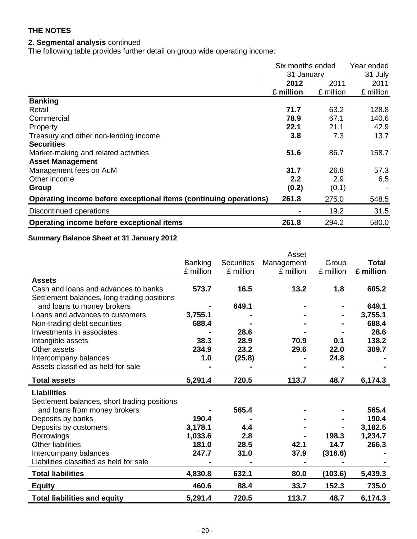## **2. Segmental analysis** continued

The following table provides further detail on group wide operating income:

|                                                                   |           | Six months ended |                 | 31 January |  |
|-------------------------------------------------------------------|-----------|------------------|-----------------|------------|--|
|                                                                   | 2012      | 2011             | 31 July<br>2011 |            |  |
|                                                                   | £ million | £ million        | £ million       |            |  |
| <b>Banking</b>                                                    |           |                  |                 |            |  |
| Retail                                                            | 71.7      | 63.2             | 128.8           |            |  |
| Commercial                                                        | 78.9      | 67.1             | 140.6           |            |  |
| Property                                                          | 22.1      | 21.1             | 42.9            |            |  |
| Treasury and other non-lending income                             | 3.8       | 7.3              | 13.7            |            |  |
| <b>Securities</b>                                                 |           |                  |                 |            |  |
| Market-making and related activities                              | 51.6      | 86.7             | 158.7           |            |  |
| <b>Asset Management</b>                                           |           |                  |                 |            |  |
| Management fees on AuM                                            | 31.7      | 26.8             | 57.3            |            |  |
| Other income                                                      | 2.2       | 2.9              | 6.5             |            |  |
| Group                                                             | (0.2)     | (0.1)            |                 |            |  |
| Operating income before exceptional items (continuing operations) | 261.8     | 275.0            | 548.5           |            |  |
| Discontinued operations                                           |           | 19.2             | 31.5            |            |  |
| Operating income before exceptional items                         | 261.8     | 294.2            | 580.0           |            |  |

## **Summary Balance Sheet at 31 January 2012**

|                                              |                |                   | Asset      |           |           |
|----------------------------------------------|----------------|-------------------|------------|-----------|-----------|
|                                              | <b>Banking</b> | <b>Securities</b> | Management | Group     | Total     |
|                                              | £ million      | £ million         | £ million  | £ million | £ million |
| <b>Assets</b>                                |                |                   |            |           |           |
| Cash and loans and advances to banks         | 573.7          | 16.5              | 13.2       | 1.8       | 605.2     |
| Settlement balances, long trading positions  |                |                   |            |           |           |
| and loans to money brokers                   |                | 649.1             |            |           | 649.1     |
| Loans and advances to customers              | 3,755.1        |                   |            |           | 3,755.1   |
| Non-trading debt securities                  | 688.4          |                   |            |           | 688.4     |
| Investments in associates                    |                | 28.6              |            |           | 28.6      |
| Intangible assets                            | 38.3           | 28.9              | 70.9       | 0.1       | 138.2     |
| Other assets                                 | 234.9          | 23.2              | 29.6       | 22.0      | 309.7     |
| Intercompany balances                        | 1.0            | (25.8)            |            | 24.8      |           |
| Assets classified as held for sale           |                |                   |            |           |           |
| <b>Total assets</b>                          | 5,291.4        | 720.5             | 113.7      | 48.7      | 6,174.3   |
| <b>Liabilities</b>                           |                |                   |            |           |           |
| Settlement balances, short trading positions |                |                   |            |           |           |
| and loans from money brokers                 |                | 565.4             |            |           | 565.4     |
| Deposits by banks                            | 190.4          |                   |            |           | 190.4     |
| Deposits by customers                        | 3,178.1        | 4.4               |            |           | 3,182.5   |
| <b>Borrowings</b>                            | 1,033.6        | 2.8               |            | 198.3     | 1,234.7   |
| Other liabilities                            | 181.0          | 28.5              | 42.1       | 14.7      | 266.3     |
| Intercompany balances                        | 247.7          | 31.0              | 37.9       | (316.6)   |           |
| Liabilities classified as held for sale      |                |                   |            |           |           |
| <b>Total liabilities</b>                     | 4,830.8        | 632.1             | 80.0       | (103.6)   | 5,439.3   |
| <b>Equity</b>                                | 460.6          | 88.4              | 33.7       | 152.3     | 735.0     |
| <b>Total liabilities and equity</b>          | 5,291.4        | 720.5             | 113.7      | 48.7      | 6,174.3   |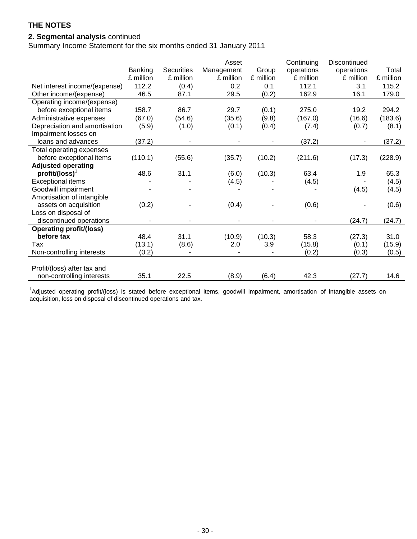## **2. Segmental analysis** continued

Summary Income Statement for the six months ended 31 January 2011

|                                |           |                   | Asset      |           | Continuing | Discontinued |           |
|--------------------------------|-----------|-------------------|------------|-----------|------------|--------------|-----------|
|                                | Banking   | <b>Securities</b> | Management | Group     | operations | operations   | Total     |
|                                | £ million | £ million         | £ million  | £ million | £ million  | £ million    | £ million |
| Net interest income/(expense)  | 112.2     | (0.4)             | 0.2        | 0.1       | 112.1      | 3.1          | 115.2     |
| Other income/(expense)         | 46.5      | 87.1              | 29.5       | (0.2)     | 162.9      | 16.1         | 179.0     |
| Operating income/(expense)     |           |                   |            |           |            |              |           |
| before exceptional items       | 158.7     | 86.7              | 29.7       | (0.1)     | 275.0      | 19.2         | 294.2     |
| Administrative expenses        | (67.0)    | (54.6)            | (35.6)     | (9.8)     | (167.0)    | (16.6)       | (183.6)   |
| Depreciation and amortisation  | (5.9)     | (1.0)             | (0.1)      | (0.4)     | (7.4)      | (0.7)        | (8.1)     |
| Impairment losses on           |           |                   |            |           |            |              |           |
| loans and advances             | (37.2)    |                   |            |           | (37.2)     |              | (37.2)    |
| Total operating expenses       |           |                   |            |           |            |              |           |
| before exceptional items       | (110.1)   | (55.6)            | (35.7)     | (10.2)    | (211.6)    | (17.3)       | (228.9)   |
| <b>Adjusted operating</b>      |           |                   |            |           |            |              |           |
| $profit/(loss)^1$              | 48.6      | 31.1              | (6.0)      | (10.3)    | 63.4       | 1.9          | 65.3      |
| <b>Exceptional items</b>       |           |                   | (4.5)      |           | (4.5)      |              | (4.5)     |
| Goodwill impairment            |           |                   |            |           |            | (4.5)        | (4.5)     |
| Amortisation of intangible     |           |                   |            |           |            |              |           |
| assets on acquisition          | (0.2)     |                   | (0.4)      |           | (0.6)      |              | (0.6)     |
| Loss on disposal of            |           |                   |            |           |            |              |           |
| discontinued operations        |           |                   |            |           |            | (24.7)       | (24.7)    |
| <b>Operating profit/(loss)</b> |           |                   |            |           |            |              |           |
| before tax                     | 48.4      | 31.1              | (10.9)     | (10.3)    | 58.3       | (27.3)       | 31.0      |
| Tax                            | (13.1)    | (8.6)             | 2.0        | 3.9       | (15.8)     | (0.1)        | (15.9)    |
| Non-controlling interests      | (0.2)     |                   |            |           | (0.2)      | (0.3)        | (0.5)     |
|                                |           |                   |            |           |            |              |           |
| Profit/(loss) after tax and    |           |                   |            |           |            |              |           |
| non-controlling interests      | 35.1      | 22.5              | (8.9)      | (6.4)     | 42.3       | (27.7)       | 14.6      |

<sup>1</sup>Adjusted operating profit/(loss) is stated before exceptional items, goodwill impairment, amortisation of intangible assets on acquisition, loss on disposal of discontinued operations and tax.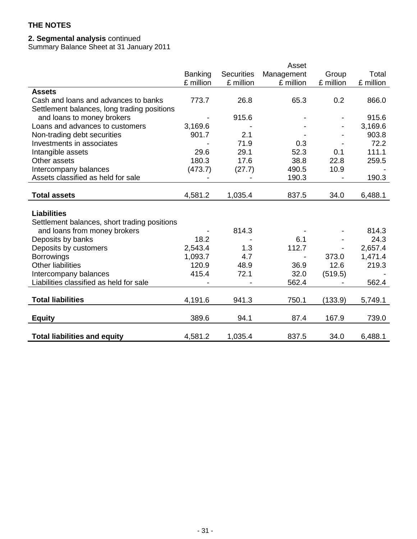## **2. Segmental analysis** continued

Summary Balance Sheet at 31 January 2011

|                                              |                |                   | Asset                    |           |           |
|----------------------------------------------|----------------|-------------------|--------------------------|-----------|-----------|
|                                              | <b>Banking</b> | <b>Securities</b> | Management               | Group     | Total     |
|                                              | £ million      | £ million         | £ million                | £ million | £ million |
| <b>Assets</b>                                |                |                   |                          |           |           |
| Cash and loans and advances to banks         | 773.7          | 26.8              | 65.3                     | 0.2       | 866.0     |
| Settlement balances, long trading positions  |                |                   |                          |           |           |
| and loans to money brokers                   |                | 915.6             |                          |           | 915.6     |
| Loans and advances to customers              | 3,169.6        |                   |                          | -         | 3,169.6   |
| Non-trading debt securities                  | 901.7          | 2.1               |                          |           | 903.8     |
| Investments in associates                    |                | 71.9              | 0.3                      |           | 72.2      |
| Intangible assets                            | 29.6           | 29.1              | 52.3                     | 0.1       | 111.1     |
| Other assets                                 | 180.3          | 17.6              | 38.8                     | 22.8      | 259.5     |
| Intercompany balances                        | (473.7)        | (27.7)            | 490.5                    | 10.9      |           |
| Assets classified as held for sale           |                |                   | 190.3                    |           | 190.3     |
|                                              |                |                   |                          |           |           |
| <b>Total assets</b>                          | 4,581.2        | 1,035.4           | 837.5                    | 34.0      | 6,488.1   |
|                                              |                |                   |                          |           |           |
| <b>Liabilities</b>                           |                |                   |                          |           |           |
| Settlement balances, short trading positions |                |                   |                          |           |           |
| and loans from money brokers                 |                | 814.3             |                          |           | 814.3     |
| Deposits by banks                            | 18.2           |                   | 6.1                      |           | 24.3      |
| Deposits by customers                        | 2,543.4        | 1.3               | 112.7                    |           | 2,657.4   |
| <b>Borrowings</b>                            | 1,093.7        | 4.7               | $\overline{\phantom{a}}$ | 373.0     | 1,471.4   |
| <b>Other liabilities</b>                     | 120.9          | 48.9              | 36.9                     | 12.6      | 219.3     |
| Intercompany balances                        | 415.4          | 72.1              | 32.0                     | (519.5)   |           |
| Liabilities classified as held for sale      |                |                   | 562.4                    |           | 562.4     |
|                                              |                |                   |                          |           |           |
| <b>Total liabilities</b>                     | 4,191.6        | 941.3             | 750.1                    | (133.9)   | 5,749.1   |
|                                              | 389.6          | 94.1              | 87.4                     | 167.9     | 739.0     |
| <b>Equity</b>                                |                |                   |                          |           |           |
| <b>Total liabilities and equity</b>          | 4,581.2        | 1,035.4           | 837.5                    | 34.0      | 6,488.1   |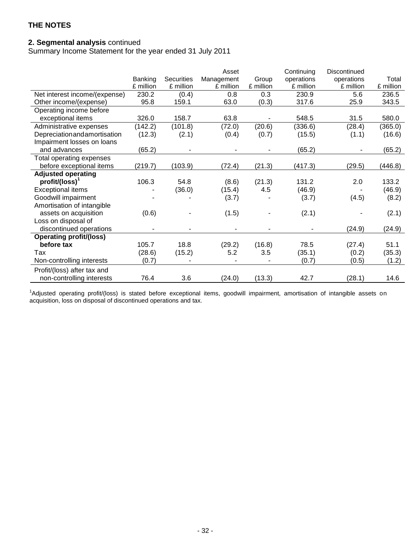## **2. Segmental analysis** continued

Summary Income Statement for the year ended 31 July 2011

|                                |                |                   | Asset      |           | Continuing | Discontinued |           |
|--------------------------------|----------------|-------------------|------------|-----------|------------|--------------|-----------|
|                                | Banking        | <b>Securities</b> | Management | Group     | operations | operations   | Total     |
|                                | £ million      | £ million         | £ million  | £ million | £ million  | £ million    | £ million |
| Net interest income/(expense)  | 230.2          | (0.4)             | 0.8        | 0.3       | 230.9      | 5.6          | 236.5     |
| Other income/(expense)         | 95.8           | 159.1             | 63.0       | (0.3)     | 317.6      | 25.9         | 343.5     |
| Operating income before        |                |                   |            |           |            |              |           |
| exceptional items              | 326.0          | 158.7             | 63.8       |           | 548.5      | 31.5         | 580.0     |
| Administrative expenses        | (142.2)        | (101.8)           | (72.0)     | (20.6)    | (336.6)    | (28.4)       | (365.0)   |
| Depreciationandamortisation    | (12.3)         | (2.1)             | (0.4)      | (0.7)     | (15.5)     | (1.1)        | (16.6)    |
| Impairment losses on loans     |                |                   |            |           |            |              |           |
| and advances                   | (65.2)         |                   |            |           | (65.2)     |              | (65.2)    |
| Total operating expenses       |                |                   |            |           |            |              |           |
| before exceptional items       | (219.7)        | (103.9)           | (72.4)     | (21.3)    | (417.3)    | (29.5)       | (446.8)   |
| <b>Adjusted operating</b>      |                |                   |            |           |            |              |           |
| profit/(loss) <sup>1</sup>     | 106.3          | 54.8              | (8.6)      | (21.3)    | 131.2      | 2.0          | 133.2     |
| <b>Exceptional items</b>       | $\blacksquare$ | (36.0)            | (15.4)     | 4.5       | (46.9)     |              | (46.9)    |
| Goodwill impairment            |                |                   | (3.7)      |           | (3.7)      | (4.5)        | (8.2)     |
| Amortisation of intangible     |                |                   |            |           |            |              |           |
| assets on acquisition          | (0.6)          |                   | (1.5)      |           | (2.1)      |              | (2.1)     |
| Loss on disposal of            |                |                   |            |           |            |              |           |
| discontinued operations        |                |                   |            |           |            | (24.9)       | (24.9)    |
| <b>Operating profit/(loss)</b> |                |                   |            |           |            |              |           |
| before tax                     | 105.7          | 18.8              | (29.2)     | (16.8)    | 78.5       | (27.4)       | 51.1      |
| Tax                            | (28.6)         | (15.2)            | 5.2        | 3.5       | (35.1)     | (0.2)        | (35.3)    |
| Non-controlling interests      | (0.7)          |                   |            |           | (0.7)      | (0.5)        | (1.2)     |
| Profit/(loss) after tax and    |                |                   |            |           |            |              |           |
| non-controlling interests      | 76.4           | 3.6               | (24.0)     | (13.3)    | 42.7       | (28.1)       | 14.6      |

<sup>1</sup>Adjusted operating profit/(loss) is stated before exceptional items, goodwill impairment, amortisation of intangible assets on acquisition, loss on disposal of discontinued operations and tax.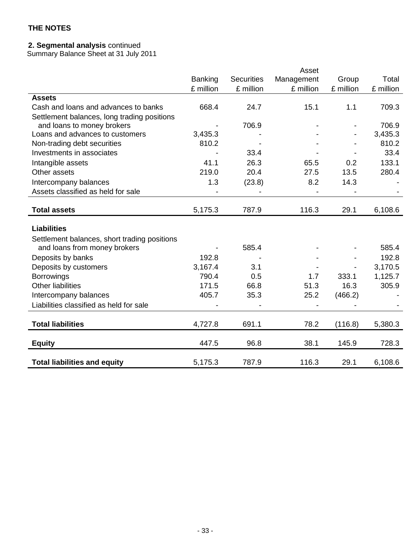## **2. Segmental analysis** continued

Summary Balance Sheet at 31 July 2011

|                                              |                |                   | Asset      |           |           |
|----------------------------------------------|----------------|-------------------|------------|-----------|-----------|
|                                              | <b>Banking</b> | <b>Securities</b> | Management | Group     | Total     |
|                                              | £ million      | £ million         | £ million  | £ million | £ million |
| <b>Assets</b>                                |                |                   |            |           |           |
| Cash and loans and advances to banks         | 668.4          | 24.7              | 15.1       | 1.1       | 709.3     |
| Settlement balances, long trading positions  |                |                   |            |           |           |
| and loans to money brokers                   |                | 706.9             |            |           | 706.9     |
| Loans and advances to customers              | 3,435.3        |                   |            |           | 3,435.3   |
| Non-trading debt securities                  | 810.2          |                   |            |           | 810.2     |
| Investments in associates                    |                | 33.4              |            |           | 33.4      |
| Intangible assets                            | 41.1           | 26.3              | 65.5       | 0.2       | 133.1     |
| Other assets                                 | 219.0          | 20.4              | 27.5       | 13.5      | 280.4     |
| Intercompany balances                        | 1.3            | (23.8)            | 8.2        | 14.3      |           |
| Assets classified as held for sale           |                |                   |            |           |           |
|                                              |                |                   |            |           |           |
| <b>Total assets</b>                          | 5,175.3        | 787.9             | 116.3      | 29.1      | 6,108.6   |
| <b>Liabilities</b>                           |                |                   |            |           |           |
| Settlement balances, short trading positions |                |                   |            |           |           |
| and loans from money brokers                 |                | 585.4             |            |           | 585.4     |
| Deposits by banks                            | 192.8          |                   |            |           | 192.8     |
| Deposits by customers                        | 3,167.4        | 3.1               |            |           | 3,170.5   |
| <b>Borrowings</b>                            | 790.4          | 0.5               | 1.7        | 333.1     | 1,125.7   |
| <b>Other liabilities</b>                     | 171.5          | 66.8              | 51.3       | 16.3      | 305.9     |
| Intercompany balances                        | 405.7          | 35.3              | 25.2       | (466.2)   |           |
| Liabilities classified as held for sale      |                |                   |            |           |           |
|                                              |                |                   |            |           |           |
| <b>Total liabilities</b>                     | 4,727.8        | 691.1             | 78.2       | (116.8)   | 5,380.3   |
| <b>Equity</b>                                | 447.5          | 96.8              | 38.1       | 145.9     | 728.3     |
| <b>Total liabilities and equity</b>          | 5,175.3        | 787.9             | 116.3      | 29.1      | 6,108.6   |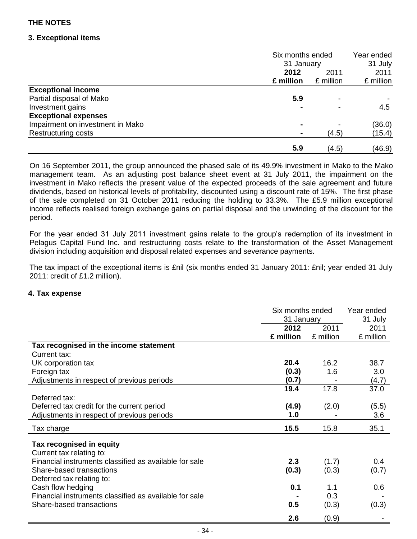## **3. Exceptional items**

|                                  | Six months ended<br>31 January |                          | Year ended<br>31 July |  |
|----------------------------------|--------------------------------|--------------------------|-----------------------|--|
|                                  |                                |                          |                       |  |
|                                  | 2012                           | 2011                     | 2011                  |  |
|                                  | £ million                      | £ million                | £ million             |  |
| <b>Exceptional income</b>        |                                |                          |                       |  |
| Partial disposal of Mako         | 5.9                            | $\overline{\phantom{0}}$ |                       |  |
| Investment gains                 |                                |                          | 4.5                   |  |
| <b>Exceptional expenses</b>      |                                |                          |                       |  |
| Impairment on investment in Mako |                                |                          | (36.0)                |  |
| Restructuring costs              |                                | (4.5)                    | (15.4)                |  |
|                                  | 5.9                            | (4.5)                    | (46.9)                |  |

On 16 September 2011, the group announced the phased sale of its 49.9% investment in Mako to the Mako management team. As an adjusting post balance sheet event at 31 July 2011, the impairment on the investment in Mako reflects the present value of the expected proceeds of the sale agreement and future dividends, based on historical levels of profitability, discounted using a discount rate of 15%. The first phase of the sale completed on 31 October 2011 reducing the holding to 33.3%. The £5.9 million exceptional income reflects realised foreign exchange gains on partial disposal and the unwinding of the discount for the period.

For the year ended 31 July 2011 investment gains relate to the group's redemption of its investment in Pelagus Capital Fund Inc. and restructuring costs relate to the transformation of the Asset Management division including acquisition and disposal related expenses and severance payments.

The tax impact of the exceptional items is £nil (six months ended 31 January 2011: £nil; year ended 31 July 2011: credit of £1.2 million).

## **4. Tax expense**

|                                                        | Six months ended |           | Year ended |
|--------------------------------------------------------|------------------|-----------|------------|
|                                                        | 31 January       |           | 31 July    |
|                                                        | 2012             | 2011      | 2011       |
|                                                        | £ million        | £ million | £ million  |
| Tax recognised in the income statement                 |                  |           |            |
| Current tax:                                           |                  |           |            |
| UK corporation tax                                     | 20.4             | 16.2      | 38.7       |
| Foreign tax                                            | (0.3)            | 1.6       | 3.0        |
| Adjustments in respect of previous periods             | (0.7)            |           | (4.7)      |
|                                                        | 19.4             | 17.8      | 37.0       |
| Deferred tax:                                          |                  |           |            |
| Deferred tax credit for the current period             | (4.9)            | (2.0)     | (5.5)      |
| Adjustments in respect of previous periods             | 1.0              |           | 3.6        |
| Tax charge                                             | 15.5             | 15.8      | 35.1       |
|                                                        |                  |           |            |
| Tax recognised in equity                               |                  |           |            |
| Current tax relating to:                               |                  |           |            |
| Financial instruments classified as available for sale | 2.3              | (1.7)     | 0.4        |
| Share-based transactions                               | (0.3)            | (0.3)     | (0.7)      |
| Deferred tax relating to:                              |                  |           |            |
| Cash flow hedging                                      | 0.1              | 1.1       | 0.6        |
| Financial instruments classified as available for sale |                  | 0.3       |            |
| Share-based transactions                               | 0.5              | (0.3)     | (0.3)      |
|                                                        | 2.6              | (0.9)     |            |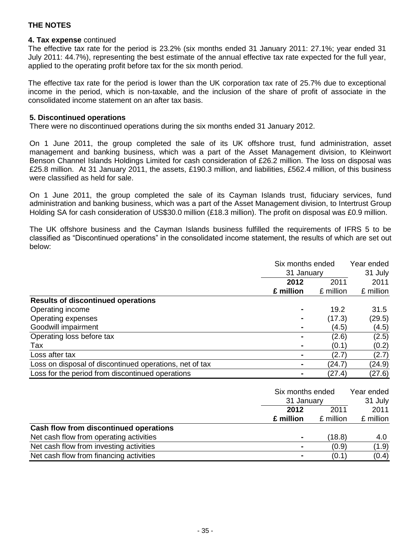### **4. Tax expense** continued

The effective tax rate for the period is 23.2% (six months ended 31 January 2011: 27.1%; year ended 31 July 2011: 44.7%), representing the best estimate of the annual effective tax rate expected for the full year, applied to the operating profit before tax for the six month period.

The effective tax rate for the period is lower than the UK corporation tax rate of 25.7% due to exceptional income in the period, which is non-taxable, and the inclusion of the share of profit of associate in the consolidated income statement on an after tax basis.

#### **5. Discontinued operations**

There were no discontinued operations during the six months ended 31 January 2012.

On 1 June 2011, the group completed the sale of its UK offshore trust, fund administration, asset management and banking business, which was a part of the Asset Management division, to Kleinwort Benson Channel Islands Holdings Limited for cash consideration of £26.2 million. The loss on disposal was £25.8 million. At 31 January 2011, the assets, £190.3 million, and liabilities, £562.4 million, of this business were classified as held for sale.

On 1 June 2011, the group completed the sale of its Cayman Islands trust, fiduciary services, fund administration and banking business, which was a part of the Asset Management division, to Intertrust Group Holding SA for cash consideration of US\$30.0 million (£18.3 million). The profit on disposal was £0.9 million.

The UK offshore business and the Cayman Islands business fulfilled the requirements of IFRS 5 to be classified as "Discontinued operations" in the consolidated income statement, the results of which are set out below:

|                                                         | Six months ended | Year ended |           |
|---------------------------------------------------------|------------------|------------|-----------|
|                                                         | 31 January       |            | 31 July   |
|                                                         | 2012             | 2011       | 2011      |
|                                                         | £ million        | £ million  | £ million |
| <b>Results of discontinued operations</b>               |                  |            |           |
| Operating income                                        | $\blacksquare$   | 19.2       | 31.5      |
| Operating expenses                                      | $\blacksquare$   | (17.3)     | (29.5)    |
| Goodwill impairment                                     | $\blacksquare$   | (4.5)      | (4.5)     |
| Operating loss before tax                               | $\blacksquare$   | (2.6)      | (2.5)     |
| Tax                                                     | $\blacksquare$   | (0.1)      | (0.2)     |
| Loss after tax                                          |                  | (2.7)      | (2.7)     |
| Loss on disposal of discontinued operations, net of tax | $\blacksquare$   | (24.7)     | (24.9)    |
| Loss for the period from discontinued operations        | $\blacksquare$   | (27.4)     | (27.6)    |

|                                         | Six months ended<br>31 January |           | Year ended<br>31 July |
|-----------------------------------------|--------------------------------|-----------|-----------------------|
|                                         | 2012                           | 2011      |                       |
|                                         | £ million                      | £ million | £ million             |
| Cash flow from discontinued operations  |                                |           |                       |
| Net cash flow from operating activities | $\blacksquare$                 | (18.8)    | 4.0                   |
| Net cash flow from investing activities | $\blacksquare$                 | (0.9)     | (1.9)                 |
| Net cash flow from financing activities | $\blacksquare$                 | (0.1)     | (0.4)                 |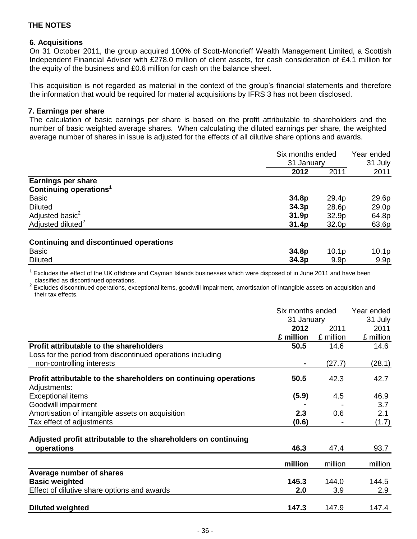### **6. Acquisitions**

On 31 October 2011, the group acquired 100% of Scott-Moncrieff Wealth Management Limited, a Scottish Independent Financial Adviser with £278.0 million of client assets, for cash consideration of £4.1 million for the equity of the business and £0.6 million for cash on the balance sheet.

This acquisition is not regarded as material in the context of the group's financial statements and therefore the information that would be required for material acquisitions by IFRS 3 has not been disclosed.

#### **7. Earnings per share**

The calculation of basic earnings per share is based on the profit attributable to shareholders and the number of basic weighted average shares. When calculating the diluted earnings per share, the weighted average number of shares in issue is adjusted for the effects of all dilutive share options and awards.

|                                               |                   | Six months ended<br>31 January |                   |
|-----------------------------------------------|-------------------|--------------------------------|-------------------|
|                                               | 2012              | 2011                           | 31 July<br>2011   |
| <b>Earnings per share</b>                     |                   |                                |                   |
| Continuing operations <sup>1</sup>            |                   |                                |                   |
| <b>Basic</b>                                  | 34.8p             | 29.4p                          | 29.6p             |
| <b>Diluted</b>                                | 34.3 <sub>p</sub> | 28.6p                          | 29.0p             |
| Adjusted basic <sup>2</sup>                   | 31.9 <sub>p</sub> | 32.9 <sub>p</sub>              | 64.8p             |
| Adjusted diluted <sup>2</sup>                 | 31.4 <sub>p</sub> | 32.0 <sub>p</sub>              | 63.6p             |
| <b>Continuing and discontinued operations</b> |                   |                                |                   |
| <b>Basic</b>                                  | 34.8p             | 10.1 <sub>p</sub>              | 10.1 <sub>p</sub> |
| <b>Diluted</b>                                | 34.3 <sub>p</sub> | 9.9 <sub>p</sub>               | 9.9 <sub>p</sub>  |

 $1$  Excludes the effect of the UK offshore and Cayman Islands businesses which were disposed of in June 2011 and have been classified as discontinued operations.

 $2$  Excludes discontinued operations, exceptional items, goodwill impairment, amortisation of intangible assets on acquisition and their tax effects.

|                                                                                  | Six months ended<br>31 January |           | Year ended |  |
|----------------------------------------------------------------------------------|--------------------------------|-----------|------------|--|
|                                                                                  |                                |           | 31 July    |  |
|                                                                                  | 2012                           | 2011      | 2011       |  |
|                                                                                  | £ million                      | £ million | £ million  |  |
| Profit attributable to the shareholders                                          | 50.5                           | 14.6      | 14.6       |  |
| Loss for the period from discontinued operations including                       |                                |           |            |  |
| non-controlling interests                                                        |                                | (27.7)    | (28.1)     |  |
| Profit attributable to the shareholders on continuing operations<br>Adjustments: | 50.5                           | 42.3      | 42.7       |  |
| <b>Exceptional items</b>                                                         | (5.9)                          | 4.5       | 46.9       |  |
| Goodwill impairment                                                              |                                |           | 3.7        |  |
| Amortisation of intangible assets on acquisition                                 | 2.3                            | 0.6       | 2.1        |  |
| Tax effect of adjustments                                                        | (0.6)                          |           | (1.7)      |  |
| Adjusted profit attributable to the shareholders on continuing<br>operations     | 46.3                           | 47.4      | 93.7       |  |
|                                                                                  | million                        | million   | million    |  |
| Average number of shares                                                         |                                |           |            |  |
| <b>Basic weighted</b>                                                            | 145.3                          | 144.0     | 144.5      |  |
| Effect of dilutive share options and awards                                      | 2.0                            | 3.9       | 2.9        |  |
| <b>Diluted weighted</b>                                                          | 147.3                          | 147.9     | 147.4      |  |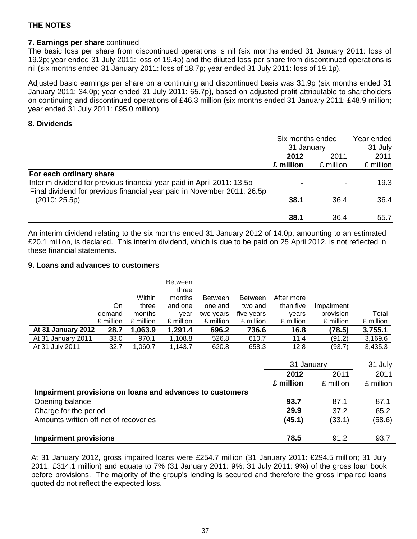### **7. Earnings per share** continued

The basic loss per share from discontinued operations is nil (six months ended 31 January 2011: loss of 19.2p; year ended 31 July 2011: loss of 19.4p) and the diluted loss per share from discontinued operations is nil (six months ended 31 January 2011: loss of 18.7p; year ended 31 July 2011: loss of 19.1p).

Adjusted basic earnings per share on a continuing and discontinued basis was 31.9p (six months ended 31 January 2011: 34.0p; year ended 31 July 2011: 65.7p), based on adjusted profit attributable to shareholders on continuing and discontinued operations of £46.3 million (six months ended 31 January 2011: £48.9 million; year ended 31 July 2011: £95.0 million).

## **8. Dividends**

|                                                                         | Six months ended<br>31 January |           | Year ended<br>31 July |  |
|-------------------------------------------------------------------------|--------------------------------|-----------|-----------------------|--|
|                                                                         | 2012<br>2011                   |           | 2011                  |  |
|                                                                         | £ million                      | £ million | £ million             |  |
| For each ordinary share                                                 |                                |           |                       |  |
| Interim dividend for previous financial year paid in April 2011: 13.5p  |                                |           | 19.3                  |  |
| Final dividend for previous financial year paid in November 2011: 26.5p |                                |           |                       |  |
| (2010:25.5p)                                                            | 38.1                           | 36.4      | 36.4                  |  |
|                                                                         |                                |           |                       |  |
|                                                                         | 38.1                           | 36.4      | 55.7                  |  |

An interim dividend relating to the six months ended 31 January 2012 of 14.0p, amounting to an estimated £20.1 million, is declared. This interim dividend, which is due to be paid on 25 April 2012, is not reflected in these financial statements.

#### **9. Loans and advances to customers**

|                    |           |           | <b>Between</b> |                |                |            |            |           |
|--------------------|-----------|-----------|----------------|----------------|----------------|------------|------------|-----------|
|                    |           |           | three          |                |                |            |            |           |
|                    |           | Within    | months         | <b>Between</b> | <b>Between</b> | After more |            |           |
|                    | On        | three     | and one        | one and        | two and        | than five  | Impairment |           |
|                    | demand    | months    | year           | two years      | five years     | vears      | provision  | Total     |
|                    | £ million | £ million | £ million      | £ million      | £ million      | £ million  | £ million  | £ million |
| At 31 January 2012 | 28.7      | 1,063.9   | 1,291.4        | 696.2          | 736.6          | 16.8       | (78.5)     | 3,755.1   |
| At 31 January 2011 | 33.0      | 970.1     | 1,108.8        | 526.8          | 610.7          | 11.4       | (91.2)     | 3,169.6   |
| At 31 July 2011    | 32.7      | 1.060.7   | 1,143.7        | 620.8          | 658.3          | 12.8       | (93.7)     | 3,435.3   |

|                                                          | 31 January |           | 31 July   |
|----------------------------------------------------------|------------|-----------|-----------|
|                                                          | 2012       | 2011      | 2011      |
|                                                          | £ million  | £ million | £ million |
| Impairment provisions on loans and advances to customers |            |           |           |
| Opening balance                                          | 93.7       | 87.1      | 87.1      |
| Charge for the period                                    | 29.9       | 37.2      | 65.2      |
| Amounts written off net of recoveries                    | (45.1)     | (33.1)    | (58.6)    |
|                                                          |            |           |           |
| <b>Impairment provisions</b>                             | 78.5       | 91.2      | 93.7      |

At 31 January 2012, gross impaired loans were £254.7 million (31 January 2011: £294.5 million; 31 July 2011: £314.1 million) and equate to 7% (31 January 2011: 9%; 31 July 2011: 9%) of the gross loan book before provisions. The majority of the group's lending is secured and therefore the gross impaired loans quoted do not reflect the expected loss.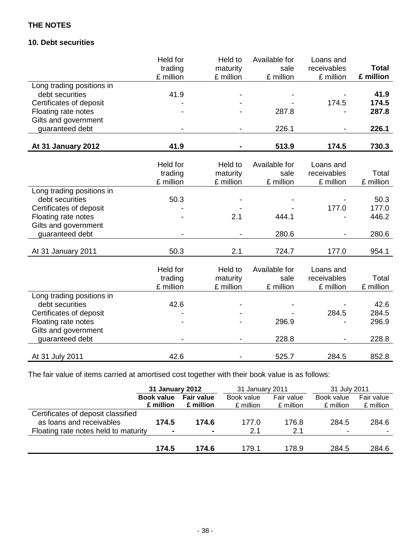## **10. Debt securities**

|                           | Held for<br>trading<br>£ million | Held to<br>maturity<br>£ million | Available for<br>sale<br>£ million | Loans and<br>receivables<br>£ million | <b>Total</b><br>£ million |
|---------------------------|----------------------------------|----------------------------------|------------------------------------|---------------------------------------|---------------------------|
| Long trading positions in |                                  |                                  |                                    |                                       |                           |
| debt securities           | 41.9                             |                                  |                                    |                                       | 41.9                      |
| Certificates of deposit   |                                  |                                  |                                    | 174.5                                 | 174.5                     |
| Floating rate notes       |                                  |                                  | 287.8                              |                                       | 287.8                     |
| Gilts and government      |                                  |                                  |                                    |                                       |                           |
| guaranteed debt           |                                  |                                  | 226.1                              |                                       | 226.1                     |
| At 31 January 2012        | 41.9                             |                                  | 513.9                              | 174.5                                 | 730.3                     |
|                           |                                  |                                  |                                    |                                       |                           |
|                           | Held for                         | Held to                          | Available for                      | Loans and                             |                           |
|                           | trading                          | maturity                         | sale                               | receivables                           | Total                     |
|                           | £ million                        | £ million                        | £ million                          | £ million                             | £ million                 |
| Long trading positions in |                                  |                                  |                                    |                                       |                           |
| debt securities           | 50.3                             |                                  |                                    |                                       | 50.3                      |
| Certificates of deposit   |                                  |                                  |                                    | 177.0                                 | 177.0                     |
| Floating rate notes       |                                  | 2.1                              | 444.1                              |                                       | 446.2                     |
| Gilts and government      |                                  |                                  |                                    |                                       |                           |
| guaranteed debt           |                                  |                                  | 280.6                              |                                       | 280.6                     |
| At 31 January 2011        | 50.3                             | 2.1                              | 724.7                              | 177.0                                 | 954.1                     |
|                           |                                  |                                  |                                    |                                       |                           |
|                           | Held for                         | Held to                          | Available for                      | Loans and<br>receivables              | Total                     |
|                           | trading<br>£ million             | maturity<br>£ million            | sale<br>£ million                  | £ million                             | £ million                 |
| Long trading positions in |                                  |                                  |                                    |                                       |                           |
| debt securities           | 42.6                             |                                  |                                    |                                       | 42.6                      |
| Certificates of deposit   |                                  |                                  |                                    | 284.5                                 | 284.5                     |
| Floating rate notes       |                                  |                                  | 296.9                              |                                       | 296.9                     |
| Gilts and government      |                                  |                                  |                                    |                                       |                           |
| guaranteed debt           |                                  |                                  | 228.8                              |                                       | 228.8                     |
|                           |                                  |                                  |                                    |                                       |                           |
| At 31 July 2011           | 42.6                             |                                  | 525.7                              | 284.5                                 | 852.8                     |

The fair value of items carried at amortised cost together with their book value is as follows:

| 31 January 2012   |                                                                            |            | 31 January 2011 |                          | 31 July 2011             |  |
|-------------------|----------------------------------------------------------------------------|------------|-----------------|--------------------------|--------------------------|--|
| <b>Book value</b> | <b>Fair value</b>                                                          | Book value | Fair value      | Book value               | Fair value               |  |
| £ million         | £ million                                                                  | £ million  | £ million       | £ million                | £ million                |  |
|                   |                                                                            |            |                 |                          |                          |  |
| 174.5             | 174.6                                                                      | 177.0      | 176.8           | 284.5                    | 284.6                    |  |
| $\blacksquare$    | $\blacksquare$                                                             | 2.1        | 2.1             | $\overline{\phantom{0}}$ | $\overline{\phantom{0}}$ |  |
|                   |                                                                            |            |                 |                          |                          |  |
| 174.5             | 174.6                                                                      | 179.1      | 178.9           | 284.5                    | 284.6                    |  |
|                   | Certificates of deposit classified<br>Floating rate notes held to maturity |            |                 |                          |                          |  |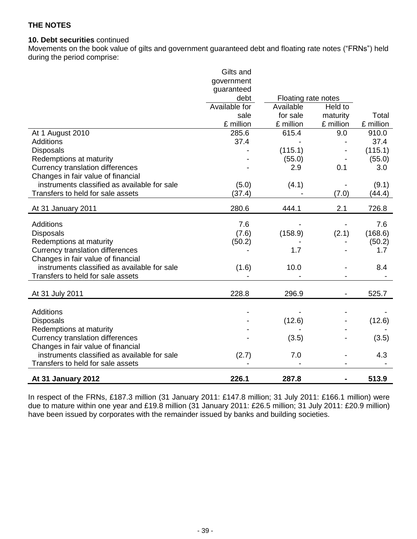## **10. Debt securities** continued

Movements on the book value of gilts and government guaranteed debt and floating rate notes ("FRNs") held during the period comprise:

|                                                                                    | Gilts and<br>government<br>guaranteed |                     |           |           |
|------------------------------------------------------------------------------------|---------------------------------------|---------------------|-----------|-----------|
|                                                                                    | debt                                  | Floating rate notes |           |           |
|                                                                                    | Available for                         | Available           | Held to   |           |
|                                                                                    | sale                                  | for sale            | maturity  | Total     |
|                                                                                    | £ million                             | £ million           | £ million | £ million |
| At 1 August 2010                                                                   | 285.6                                 | 615.4               | 9.0       | 910.0     |
| <b>Additions</b>                                                                   | 37.4                                  |                     |           | 37.4      |
| <b>Disposals</b>                                                                   |                                       | (115.1)             |           | (115.1)   |
| Redemptions at maturity                                                            |                                       | (55.0)              |           | (55.0)    |
| <b>Currency translation differences</b>                                            |                                       | 2.9                 | 0.1       | 3.0       |
| Changes in fair value of financial                                                 |                                       |                     |           |           |
| instruments classified as available for sale                                       | (5.0)                                 | (4.1)               |           | (9.1)     |
| Transfers to held for sale assets                                                  | (37.4)                                |                     | (7.0)     | (44.4)    |
| At 31 January 2011                                                                 | 280.6                                 | 444.1               | 2.1       | 726.8     |
| <b>Additions</b>                                                                   | 7.6                                   |                     |           | 7.6       |
|                                                                                    |                                       |                     |           |           |
| <b>Disposals</b>                                                                   | (7.6)                                 | (158.9)             | (2.1)     | (168.6)   |
| Redemptions at maturity                                                            | (50.2)                                |                     |           | (50.2)    |
| <b>Currency translation differences</b>                                            |                                       | 1.7                 |           | 1.7       |
| Changes in fair value of financial<br>instruments classified as available for sale |                                       |                     |           |           |
|                                                                                    | (1.6)                                 | 10.0                |           | 8.4       |
| Transfers to held for sale assets                                                  |                                       |                     |           |           |
| At 31 July 2011                                                                    | 228.8                                 | 296.9               |           | 525.7     |
|                                                                                    |                                       |                     |           |           |
| <b>Additions</b>                                                                   |                                       |                     |           |           |
| <b>Disposals</b>                                                                   |                                       | (12.6)              |           | (12.6)    |
| Redemptions at maturity                                                            |                                       |                     |           |           |
| Currency translation differences                                                   |                                       | (3.5)               |           | (3.5)     |
| Changes in fair value of financial                                                 |                                       |                     |           |           |
| instruments classified as available for sale                                       | (2.7)                                 | 7.0                 |           | 4.3       |
| Transfers to held for sale assets                                                  |                                       |                     |           |           |
| At 31 January 2012                                                                 | 226.1                                 | 287.8               |           | 513.9     |

In respect of the FRNs, £187.3 million (31 January 2011: £147.8 million; 31 July 2011: £166.1 million) were due to mature within one year and £19.8 million (31 January 2011: £26.5 million; 31 July 2011: £20.9 million) have been issued by corporates with the remainder issued by banks and building societies.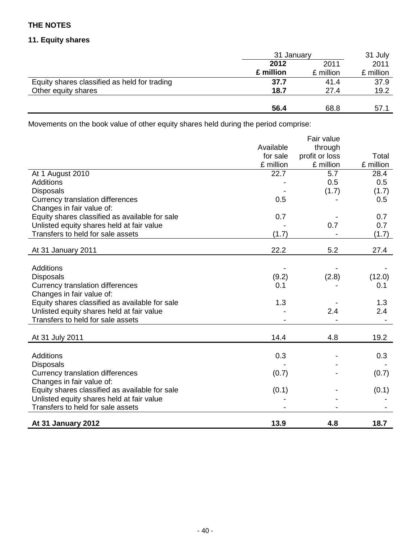## **11. Equity shares**

|                                              | 31 January   |           | 31 July   |  |
|----------------------------------------------|--------------|-----------|-----------|--|
|                                              | 2012<br>2011 |           | 2011      |  |
|                                              | £ million    | £ million | £ million |  |
| Equity shares classified as held for trading | 37.7         | 41.4      | 37.9      |  |
| Other equity shares                          | 18.7         | 27.4      | 19.2      |  |
|                                              |              |           |           |  |
|                                              | 56.4         | 68.8      | 57.1      |  |

Movements on the book value of other equity shares held during the period comprise:

|                                                |           | Fair value     |           |
|------------------------------------------------|-----------|----------------|-----------|
|                                                | Available | through        |           |
|                                                | for sale  | profit or loss | Total     |
|                                                | £ million | £ million      | £ million |
| At 1 August 2010                               | 22.7      | 5.7            | 28.4      |
| Additions                                      |           | 0.5            | 0.5       |
| <b>Disposals</b>                               |           | (1.7)          | (1.7)     |
| <b>Currency translation differences</b>        | 0.5       |                | 0.5       |
| Changes in fair value of:                      |           |                |           |
| Equity shares classified as available for sale | 0.7       |                | 0.7       |
| Unlisted equity shares held at fair value      |           | 0.7            | 0.7       |
| Transfers to held for sale assets              | (1.7)     |                | (1.7)     |
|                                                |           |                |           |
| At 31 January 2011                             | 22.2      | 5.2            | 27.4      |
| <b>Additions</b>                               |           |                |           |
| <b>Disposals</b>                               | (9.2)     | (2.8)          | (12.0)    |
| <b>Currency translation differences</b>        | 0.1       |                | 0.1       |
| Changes in fair value of:                      |           |                |           |
| Equity shares classified as available for sale | 1.3       |                | 1.3       |
| Unlisted equity shares held at fair value      |           | 2.4            | 2.4       |
| Transfers to held for sale assets              |           |                |           |
|                                                |           |                |           |
| At 31 July 2011                                | 14.4      | 4.8            | 19.2      |
|                                                |           |                |           |
| <b>Additions</b>                               | 0.3       |                | 0.3       |
| <b>Disposals</b>                               |           |                |           |
| <b>Currency translation differences</b>        | (0.7)     |                | (0.7)     |
| Changes in fair value of:                      |           |                |           |
| Equity shares classified as available for sale | (0.1)     |                | (0.1)     |
| Unlisted equity shares held at fair value      |           |                |           |
| Transfers to held for sale assets              |           |                |           |
| At 31 January 2012                             | 13.9      | 4.8            | 18.7      |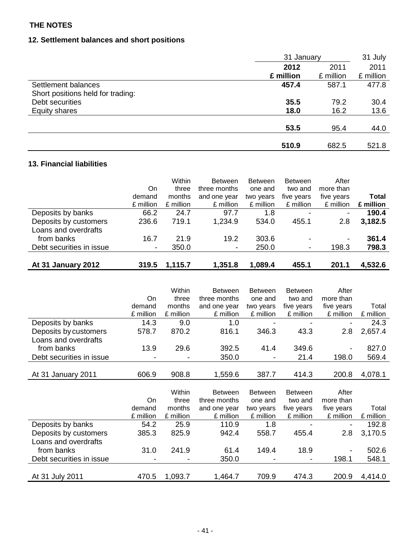# **12. Settlement balances and short positions**

|                                   | 31 January |           | 31 July   |  |
|-----------------------------------|------------|-----------|-----------|--|
|                                   | 2012       | 2011      | 2011      |  |
|                                   | £ million  | £ million | £ million |  |
| Settlement balances               | 457.4      | 587.1     | 477.8     |  |
| Short positions held for trading: |            |           |           |  |
| Debt securities                   | 35.5       | 79.2      | 30.4      |  |
| Equity shares                     | 18.0       | 16.2      | 13.6      |  |
|                                   |            |           |           |  |
|                                   | 53.5       | 95.4      | 44.0      |  |
|                                   |            |           |           |  |
|                                   | 510.9      | 682.5     | 521.8     |  |

## **13. Financial liabilities**

|                          |           | Within    | <b>Between</b> | Between   | <b>Between</b>           | After                    |              |
|--------------------------|-----------|-----------|----------------|-----------|--------------------------|--------------------------|--------------|
|                          | On        | three     | three months   | one and   | two and                  | more than                |              |
|                          | demand    | months    | and one year   | two years | five years               | five years               | <b>Total</b> |
|                          | £ million | £ million | £ million      | £ million | £ million                | £ million                | £ million    |
| Deposits by banks        | 66.2      | 24.7      | 97.7           | 1.8       |                          | $\overline{\phantom{a}}$ | 190.4        |
| Deposits by customers    | 236.6     | 719.1     | 1,234.9        | 534.0     | 455.1                    | 2.8                      | 3,182.5      |
| Loans and overdrafts     |           |           |                |           |                          |                          |              |
| from banks               | 16.7      | 21.9      | 19.2           | 303.6     | ٠                        | ۰                        | 361.4        |
| Debt securities in issue | ۰.        | 350.0     | ٠              | 250.0     | $\overline{\phantom{a}}$ | 198.3                    | 798.3        |
|                          |           |           |                |           |                          |                          |              |
| At 31 January 2012       | 319.5     | 1,115.7   | 1,351.8        | 1,089.4   | 455.1                    | 201.1                    | 4,532.6      |

|                          |           | Within    | <b>Between</b> | <b>Between</b> | <b>Between</b> | After                    |           |
|--------------------------|-----------|-----------|----------------|----------------|----------------|--------------------------|-----------|
|                          | On        | three     | three months   | one and        | two and        | more than                |           |
|                          | demand    | months    | and one year   | two years      | five years     | five years               | Total     |
|                          | £ million | £ million | £ million      | £ million      | £ million      | £ million                | £ million |
| Deposits by banks        | 14.3      | 9.0       | 1.0            | ۰              | $\,$           | $\overline{\phantom{a}}$ | 24.3      |
| Deposits by customers    | 578.7     | 870.2     | 816.1          | 346.3          | 43.3           | 2.8                      | 2,657.4   |
| Loans and overdrafts     |           |           |                |                |                |                          |           |
| from banks               | 13.9      | 29.6      | 392.5          | 41.4           | 349.6          | $\overline{\phantom{a}}$ | 827.0     |
| Debt securities in issue | -         |           | 350.0          | ۰              | 21.4           | 198.0                    | 569.4     |
|                          |           |           |                |                |                |                          |           |
| At 31 January 2011       | 606.9     | 908.8     | 1,559.6        | 387.7          | 414.3          | 200.8                    | 4,078.1   |
|                          |           |           |                |                |                |                          |           |

|                          |                          | Within                   | <b>Between</b> | <b>Between</b> | <b>Between</b> | After      |           |
|--------------------------|--------------------------|--------------------------|----------------|----------------|----------------|------------|-----------|
|                          | On                       | three                    | three months   | one and        | two and        | more than  |           |
|                          | demand                   | months                   | and one year   | two years      | five years     | five years | Total     |
|                          | £ million                | £ million                | £ million      | £ million      | £ million      | £ million  | £ million |
| Deposits by banks        | 54.2                     | 25.9                     | 110.9          | 1.8            | ٠              | ۰          | 192.8     |
| Deposits by customers    | 385.3                    | 825.9                    | 942.4          | 558.7          | 455.4          | 2.8        | 3,170.5   |
| Loans and overdrafts     |                          |                          |                |                |                |            |           |
| from banks               | 31.0                     | 241.9                    | 61.4           | 149.4          | 18.9           | ۰          | 502.6     |
| Debt securities in issue | $\overline{\phantom{a}}$ | $\overline{\phantom{0}}$ | 350.0          |                |                | 198.1      | 548.1     |
|                          |                          |                          |                |                |                |            |           |
| At 31 July 2011          | 470.5                    | 1,093.7                  | 1,464.7        | 709.9          | 474.3          | 200.9      | 4,414.0   |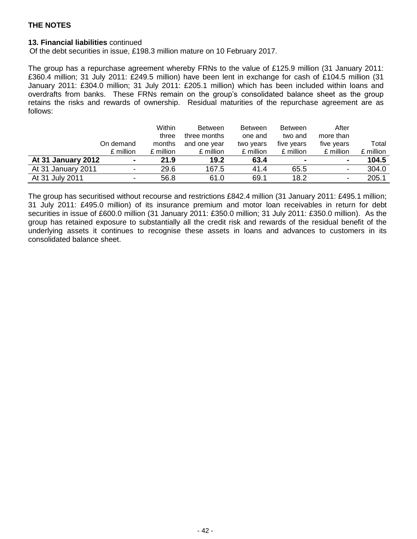## **13. Financial liabilities** continued

Of the debt securities in issue, £198.3 million mature on 10 February 2017.

The group has a repurchase agreement whereby FRNs to the value of £125.9 million (31 January 2011: £360.4 million; 31 July 2011: £249.5 million) have been lent in exchange for cash of £104.5 million (31 January 2011: £304.0 million; 31 July 2011: £205.1 million) which has been included within loans and overdrafts from banks. These FRNs remain on the group's consolidated balance sheet as the group retains the risks and rewards of ownership. Residual maturities of the repurchase agreement are as follows:

|                    |           | Within    | <b>Between</b> | <b>Between</b> | <b>Between</b> | After      |           |
|--------------------|-----------|-----------|----------------|----------------|----------------|------------|-----------|
|                    |           | three     | three months   | one and        | two and        | more than  |           |
|                    | On demand | months    | and one year   | two years      | five years     | five years | Total     |
|                    | £ million | £ million | £ million      | £ million      | £ million      | £ million  | £ million |
| At 31 January 2012 | ۰         | 21.9      | 19.2           | 63.4           | $\blacksquare$ |            | 104.5     |
| At 31 January 2011 | -         | 29.6      | 167.5          | 41.4           | 65.5           | -          | 304.0     |
| At 31 July 2011    | -         | 56.8      | 61.0           | 69.1           | 18.2           |            | 205.1     |

The group has securitised without recourse and restrictions £842.4 million (31 January 2011: £495.1 million; 31 July 2011: £495.0 million) of its insurance premium and motor loan receivables in return for debt securities in issue of £600.0 million (31 January 2011: £350.0 million; 31 July 2011: £350.0 million). As the group has retained exposure to substantially all the credit risk and rewards of the residual benefit of the underlying assets it continues to recognise these assets in loans and advances to customers in its consolidated balance sheet.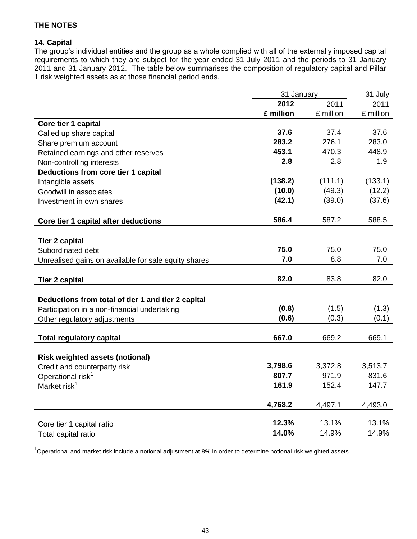## **14. Capital**

The group's individual entities and the group as a whole complied with all of the externally imposed capital requirements to which they are subject for the year ended 31 July 2011 and the periods to 31 January 2011 and 31 January 2012. The table below summarises the composition of regulatory capital and Pillar 1 risk weighted assets as at those financial period ends.

|                                                      | 31 January |           | 31 July   |
|------------------------------------------------------|------------|-----------|-----------|
|                                                      | 2012       | 2011      | 2011      |
|                                                      | £ million  | £ million | £ million |
| Core tier 1 capital                                  |            |           |           |
| Called up share capital                              | 37.6       | 37.4      | 37.6      |
| Share premium account                                | 283.2      | 276.1     | 283.0     |
| Retained earnings and other reserves                 | 453.1      | 470.3     | 448.9     |
| Non-controlling interests                            | 2.8        | 2.8       | 1.9       |
| Deductions from core tier 1 capital                  |            |           |           |
| Intangible assets                                    | (138.2)    | (111.1)   | (133.1)   |
| Goodwill in associates                               | (10.0)     | (49.3)    | (12.2)    |
| Investment in own shares                             | (42.1)     | (39.0)    | (37.6)    |
|                                                      |            |           |           |
| Core tier 1 capital after deductions                 | 586.4      | 587.2     | 588.5     |
|                                                      |            |           |           |
| <b>Tier 2 capital</b>                                |            |           |           |
| Subordinated debt                                    | 75.0       | 75.0      | 75.0      |
| Unrealised gains on available for sale equity shares | 7.0        | 8.8       | 7.0       |
|                                                      |            |           |           |
| <b>Tier 2 capital</b>                                | 82.0       | 83.8      | 82.0      |
|                                                      |            |           |           |
| Deductions from total of tier 1 and tier 2 capital   |            |           |           |
| Participation in a non-financial undertaking         | (0.8)      | (1.5)     | (1.3)     |
| Other regulatory adjustments                         | (0.6)      | (0.3)     | (0.1)     |
|                                                      |            |           |           |
| <b>Total regulatory capital</b>                      | 667.0      | 669.2     | 669.1     |
|                                                      |            |           |           |
| <b>Risk weighted assets (notional)</b>               |            |           |           |
| Credit and counterparty risk                         | 3,798.6    | 3,372.8   | 3,513.7   |
| Operational risk <sup>1</sup>                        | 807.7      | 971.9     | 831.6     |
| Market risk <sup>1</sup>                             | 161.9      | 152.4     | 147.7     |
|                                                      |            |           |           |
|                                                      | 4,768.2    | 4,497.1   | 4,493.0   |
|                                                      |            |           |           |
| Core tier 1 capital ratio                            | 12.3%      | 13.1%     | 13.1%     |
| Total capital ratio                                  | 14.0%      | 14.9%     | 14.9%     |

 $1$ Operational and market risk include a notional adjustment at 8% in order to determine notional risk weighted assets.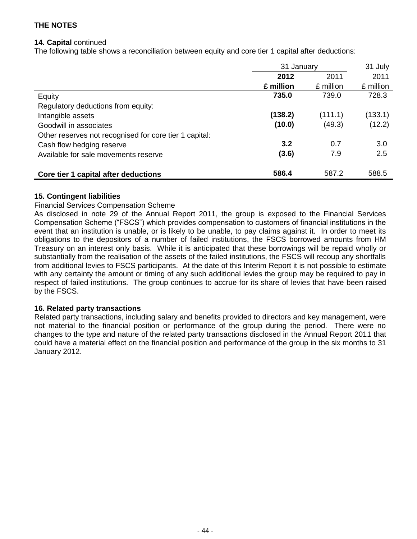## **14. Capital** continued

The following table shows a reconciliation between equity and core tier 1 capital after deductions:

|                                                        | 31 January |           | 31 July   |  |
|--------------------------------------------------------|------------|-----------|-----------|--|
|                                                        | 2012       | 2011      | 2011      |  |
|                                                        | £ million  | £ million | £ million |  |
| Equity                                                 | 735.0      | 739.0     | 728.3     |  |
| Regulatory deductions from equity:                     |            |           |           |  |
| Intangible assets                                      | (138.2)    | (111.1)   | (133.1)   |  |
| Goodwill in associates                                 | (10.0)     | (49.3)    | (12.2)    |  |
| Other reserves not recognised for core tier 1 capital: |            |           |           |  |
| Cash flow hedging reserve                              | 3.2        | 0.7       | 3.0       |  |
| Available for sale movements reserve                   | (3.6)      | 7.9       | 2.5       |  |
|                                                        |            |           |           |  |
| Core tier 1 capital after deductions                   | 586.4      | 587.2     | 588.5     |  |

## **15. Contingent liabilities**

## Financial Services Compensation Scheme

As disclosed in note 29 of the Annual Report 2011, the group is exposed to the Financial Services Compensation Scheme ("FSCS") which provides compensation to customers of financial institutions in the event that an institution is unable, or is likely to be unable, to pay claims against it. In order to meet its obligations to the depositors of a number of failed institutions, the FSCS borrowed amounts from HM Treasury on an interest only basis. While it is anticipated that these borrowings will be repaid wholly or substantially from the realisation of the assets of the failed institutions, the FSCS will recoup any shortfalls from additional levies to FSCS participants. At the date of this Interim Report it is not possible to estimate with any certainty the amount or timing of any such additional levies the group may be required to pay in respect of failed institutions. The group continues to accrue for its share of levies that have been raised by the FSCS.

## **16. Related party transactions**

Related party transactions, including salary and benefits provided to directors and key management, were not material to the financial position or performance of the group during the period. There were no changes to the type and nature of the related party transactions disclosed in the Annual Report 2011 that could have a material effect on the financial position and performance of the group in the six months to 31 January 2012.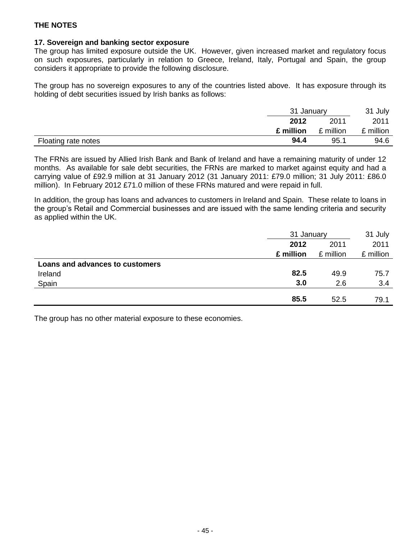### **17. Sovereign and banking sector exposure**

The group has limited exposure outside the UK. However, given increased market and regulatory focus on such exposures, particularly in relation to Greece, Ireland, Italy, Portugal and Spain, the group considers it appropriate to provide the following disclosure.

The group has no sovereign exposures to any of the countries listed above. It has exposure through its holding of debt securities issued by Irish banks as follows:

|                     |           | 31 January |           |  |
|---------------------|-----------|------------|-----------|--|
|                     | 2012      | 2011       | 2011      |  |
|                     | £ million | £ million  | £ million |  |
| Floating rate notes | 94.4      | 95.1       | 94.6      |  |

The FRNs are issued by Allied Irish Bank and Bank of Ireland and have a remaining maturity of under 12 months. As available for sale debt securities, the FRNs are marked to market against equity and had a carrying value of £92.9 million at 31 January 2012 (31 January 2011: £79.0 million; 31 July 2011: £86.0 million). In February 2012 £71.0 million of these FRNs matured and were repaid in full.

In addition, the group has loans and advances to customers in Ireland and Spain. These relate to loans in the group's Retail and Commercial businesses and are issued with the same lending criteria and security as applied within the UK.

|                                 | 31 January | 31 July   |           |
|---------------------------------|------------|-----------|-----------|
|                                 | 2012       | 2011      | 2011      |
|                                 | £ million  | £ million | £ million |
| Loans and advances to customers |            |           |           |
| Ireland                         | 82.5       | 49.9      | 75.7      |
| Spain                           | 3.0        | 2.6       | 3.4       |
|                                 | 85.5       | 52.5      | 79.1      |

The group has no other material exposure to these economies.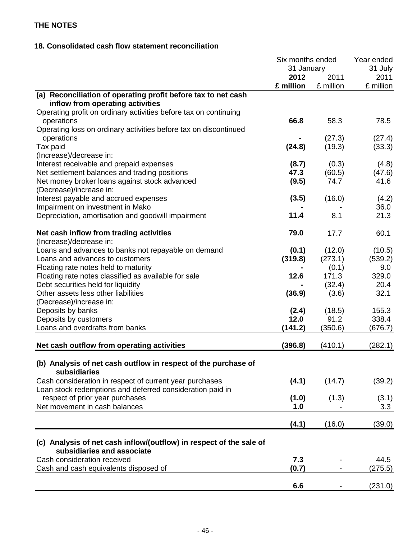## **18. Consolidated cash flow statement reconciliation**

|                                                                     | Six months ended  |                   | Year ended        |  |
|---------------------------------------------------------------------|-------------------|-------------------|-------------------|--|
|                                                                     | 31 January        |                   | 31 July           |  |
|                                                                     | 2012<br>£ million | 2011<br>£ million | 2011<br>£ million |  |
| (a) Reconciliation of operating profit before tax to net cash       |                   |                   |                   |  |
| inflow from operating activities                                    |                   |                   |                   |  |
| Operating profit on ordinary activities before tax on continuing    |                   |                   |                   |  |
| operations                                                          | 66.8              | 58.3              | 78.5              |  |
| Operating loss on ordinary activities before tax on discontinued    |                   |                   |                   |  |
| operations                                                          |                   | (27.3)            | (27.4)            |  |
| Tax paid                                                            | (24.8)            | (19.3)            | (33.3)            |  |
| (Increase)/decrease in:                                             |                   |                   |                   |  |
| Interest receivable and prepaid expenses                            | (8.7)             | (0.3)             | (4.8)             |  |
| Net settlement balances and trading positions                       | 47.3              | (60.5)            | (47.6)            |  |
| Net money broker loans against stock advanced                       | (9.5)             | 74.7              | 41.6              |  |
| (Decrease)/increase in:                                             |                   |                   |                   |  |
| Interest payable and accrued expenses                               | (3.5)             | (16.0)            | (4.2)             |  |
| Impairment on investment in Mako                                    |                   |                   | 36.0              |  |
|                                                                     | 11.4              | 8.1               | 21.3              |  |
| Depreciation, amortisation and goodwill impairment                  |                   |                   |                   |  |
|                                                                     | 79.0              |                   |                   |  |
| Net cash inflow from trading activities                             |                   | 17.7              | 60.1              |  |
| (Increase)/decrease in:                                             |                   |                   |                   |  |
| Loans and advances to banks not repayable on demand                 | (0.1)             | (12.0)            | (10.5)            |  |
| Loans and advances to customers                                     | (319.8)           | (273.1)           | (539.2)           |  |
| Floating rate notes held to maturity                                |                   | (0.1)             | 9.0               |  |
| Floating rate notes classified as available for sale                | 12.6              | 171.3             | 329.0             |  |
| Debt securities held for liquidity                                  |                   | (32.4)            | 20.4              |  |
| Other assets less other liabilities                                 | (36.9)            | (3.6)             | 32.1              |  |
| (Decrease)/increase in:                                             |                   |                   |                   |  |
| Deposits by banks                                                   | (2.4)             | (18.5)            | 155.3             |  |
| Deposits by customers                                               | 12.0              | 91.2              | 338.4             |  |
| Loans and overdrafts from banks                                     | (141.2)           | (350.6)           | (676.7)           |  |
|                                                                     |                   |                   |                   |  |
| Net cash outflow from operating activities                          | (396.8)           | (410.1)           | (282.1)           |  |
| (b) Analysis of net cash outflow in respect of the purchase of      |                   |                   |                   |  |
| subsidiaries                                                        |                   |                   |                   |  |
| Cash consideration in respect of current year purchases             | (4.1)             | (14.7)            | (39.2)            |  |
| Loan stock redemptions and deferred consideration paid in           |                   |                   |                   |  |
| respect of prior year purchases                                     | (1.0)             | (1.3)             | (3.1)             |  |
| Net movement in cash balances                                       | 1.0               |                   | 3.3               |  |
|                                                                     |                   |                   |                   |  |
|                                                                     | (4.1)             | (16.0)            | (39.0)            |  |
| (c) Analysis of net cash inflow/(outflow) in respect of the sale of |                   |                   |                   |  |
| subsidiaries and associate                                          |                   |                   |                   |  |
| Cash consideration received                                         | 7.3               |                   | 44.5              |  |
| Cash and cash equivalents disposed of                               | (0.7)             |                   | (275.5)           |  |
|                                                                     |                   |                   |                   |  |
|                                                                     | 6.6               |                   | (231.0)           |  |